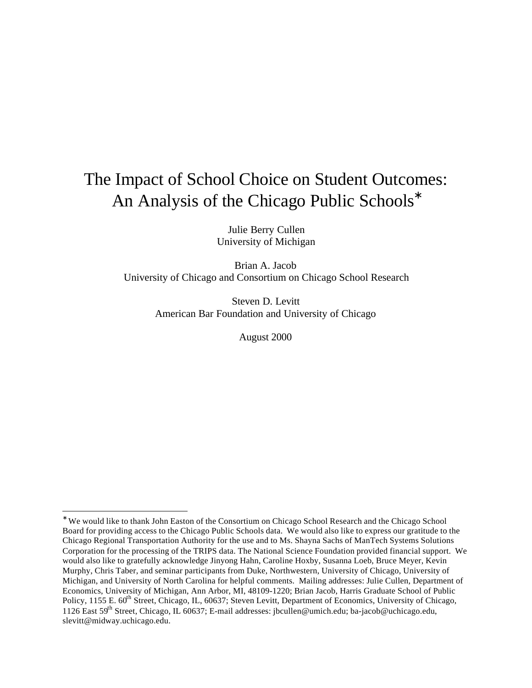# The Impact of School Choice on Student Outcomes: An Analysis of the Chicago Public Schools<sup>∗</sup>

Julie Berry Cullen University of Michigan

Brian A. Jacob University of Chicago and Consortium on Chicago School Research

> Steven D. Levitt American Bar Foundation and University of Chicago

> > August 2000

<sup>∗</sup> We would like to thank John Easton of the Consortium on Chicago School Research and the Chicago School Board for providing access to the Chicago Public Schools data. We would also like to express our gratitude to the Chicago Regional Transportation Authority for the use and to Ms. Shayna Sachs of ManTech Systems Solutions Corporation for the processing of the TRIPS data. The National Science Foundation provided financial support. We would also like to gratefully acknowledge Jinyong Hahn, Caroline Hoxby, Susanna Loeb, Bruce Meyer, Kevin Murphy, Chris Taber, and seminar participants from Duke, Northwestern, University of Chicago, University of Michigan, and University of North Carolina for helpful comments. Mailing addresses: Julie Cullen, Department of Economics, University of Michigan, Ann Arbor, MI, 48109-1220; Brian Jacob, Harris Graduate School of Public Policy, 1155 E. 60<sup>th</sup> Street, Chicago, IL, 60637; Steven Levitt, Department of Economics, University of Chicago, 1126 East 59th Street, Chicago, IL 60637; E-mail addresses: jbcullen@umich.edu; ba-jacob@uchicago.edu, slevitt@midway.uchicago.edu.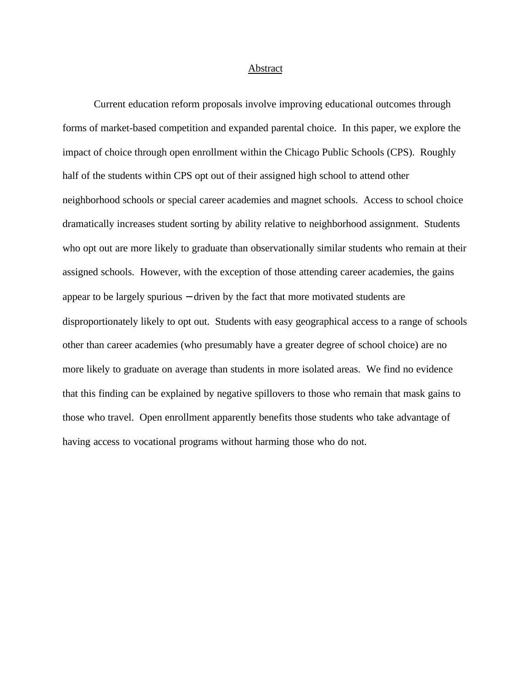#### Abstract

Current education reform proposals involve improving educational outcomes through forms of market-based competition and expanded parental choice. In this paper, we explore the impact of choice through open enrollment within the Chicago Public Schools (CPS). Roughly half of the students within CPS opt out of their assigned high school to attend other neighborhood schools or special career academies and magnet schools. Access to school choice dramatically increases student sorting by ability relative to neighborhood assignment. Students who opt out are more likely to graduate than observationally similar students who remain at their assigned schools. However, with the exception of those attending career academies, the gains appear to be largely spurious − driven by the fact that more motivated students are disproportionately likely to opt out. Students with easy geographical access to a range of schools other than career academies (who presumably have a greater degree of school choice) are no more likely to graduate on average than students in more isolated areas. We find no evidence that this finding can be explained by negative spillovers to those who remain that mask gains to those who travel. Open enrollment apparently benefits those students who take advantage of having access to vocational programs without harming those who do not.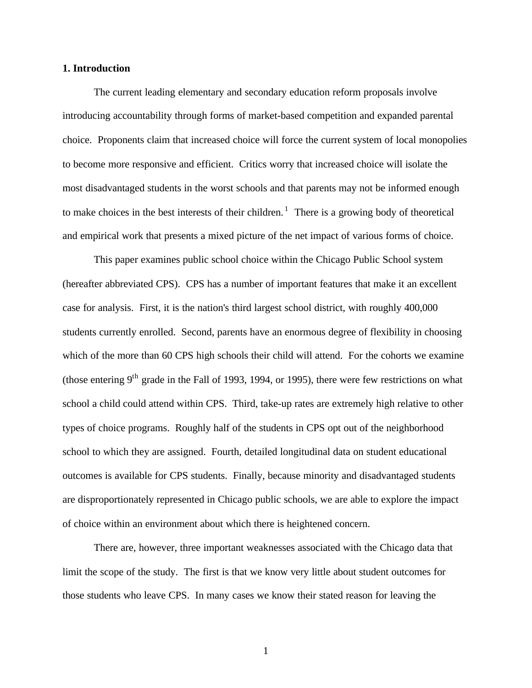## **1. Introduction**

The current leading elementary and secondary education reform proposals involve introducing accountability through forms of market-based competition and expanded parental choice. Proponents claim that increased choice will force the current system of local monopolies to become more responsive and efficient. Critics worry that increased choice will isolate the most disadvantaged students in the worst schools and that parents may not be informed enough to make choices in the best interests of their children.<sup>1</sup> There is a growing body of theoretical and empirical work that presents a mixed picture of the net impact of various forms of choice.

This paper examines public school choice within the Chicago Public School system (hereafter abbreviated CPS). CPS has a number of important features that make it an excellent case for analysis. First, it is the nation's third largest school district, with roughly 400,000 students currently enrolled. Second, parents have an enormous degree of flexibility in choosing which of the more than 60 CPS high schools their child will attend. For the cohorts we examine (those entering  $9<sup>th</sup>$  grade in the Fall of 1993, 1994, or 1995), there were few restrictions on what school a child could attend within CPS. Third, take-up rates are extremely high relative to other types of choice programs. Roughly half of the students in CPS opt out of the neighborhood school to which they are assigned. Fourth, detailed longitudinal data on student educational outcomes is available for CPS students. Finally, because minority and disadvantaged students are disproportionately represented in Chicago public schools, we are able to explore the impact of choice within an environment about which there is heightened concern.

There are, however, three important weaknesses associated with the Chicago data that limit the scope of the study. The first is that we know very little about student outcomes for those students who leave CPS. In many cases we know their stated reason for leaving the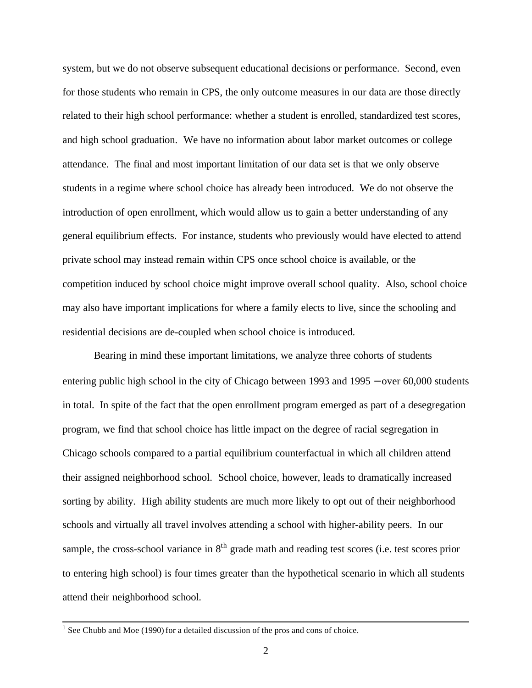system, but we do not observe subsequent educational decisions or performance. Second, even for those students who remain in CPS, the only outcome measures in our data are those directly related to their high school performance: whether a student is enrolled, standardized test scores, and high school graduation. We have no information about labor market outcomes or college attendance. The final and most important limitation of our data set is that we only observe students in a regime where school choice has already been introduced. We do not observe the introduction of open enrollment, which would allow us to gain a better understanding of any general equilibrium effects. For instance, students who previously would have elected to attend private school may instead remain within CPS once school choice is available, or the competition induced by school choice might improve overall school quality. Also, school choice may also have important implications for where a family elects to live, since the schooling and residential decisions are de-coupled when school choice is introduced.

Bearing in mind these important limitations, we analyze three cohorts of students entering public high school in the city of Chicago between 1993 and 1995 − over 60,000 students in total. In spite of the fact that the open enrollment program emerged as part of a desegregation program, we find that school choice has little impact on the degree of racial segregation in Chicago schools compared to a partial equilibrium counterfactual in which all children attend their assigned neighborhood school. School choice, however, leads to dramatically increased sorting by ability. High ability students are much more likely to opt out of their neighborhood schools and virtually all travel involves attending a school with higher-ability peers. In our sample, the cross-school variance in  $8<sup>th</sup>$  grade math and reading test scores (i.e. test scores prior to entering high school) is four times greater than the hypothetical scenario in which all students attend their neighborhood school.

<sup>&</sup>lt;sup>1</sup> See Chubb and Moe (1990) for a detailed discussion of the pros and cons of choice.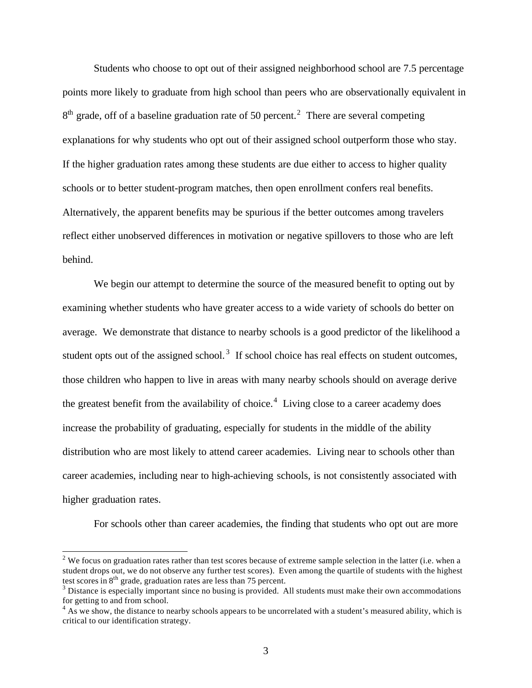Students who choose to opt out of their assigned neighborhood school are 7.5 percentage points more likely to graduate from high school than peers who are observationally equivalent in  $8<sup>th</sup>$  grade, off of a baseline graduation rate of 50 percent.<sup>2</sup> There are several competing explanations for why students who opt out of their assigned school outperform those who stay. If the higher graduation rates among these students are due either to access to higher quality schools or to better student-program matches, then open enrollment confers real benefits. Alternatively, the apparent benefits may be spurious if the better outcomes among travelers reflect either unobserved differences in motivation or negative spillovers to those who are left behind.

We begin our attempt to determine the source of the measured benefit to opting out by examining whether students who have greater access to a wide variety of schools do better on average. We demonstrate that distance to nearby schools is a good predictor of the likelihood a student opts out of the assigned school.<sup>3</sup> If school choice has real effects on student outcomes, those children who happen to live in areas with many nearby schools should on average derive the greatest benefit from the availability of choice.<sup>4</sup> Living close to a career academy does increase the probability of graduating, especially for students in the middle of the ability distribution who are most likely to attend career academies. Living near to schools other than career academies, including near to high-achieving schools, is not consistently associated with higher graduation rates.

For schools other than career academies, the finding that students who opt out are more

<sup>&</sup>lt;sup>2</sup> We focus on graduation rates rather than test scores because of extreme sample selection in the latter (i.e. when a student drops out, we do not observe any further test scores). Even among the quartile of students with the highest test scores in  $8<sup>th</sup>$  grade, graduation rates are less than 75 percent.

 $3$  Distance is especially important since no busing is provided. All students must make their own accommodations for getting to and from school.

<sup>&</sup>lt;sup>4</sup> As we show, the distance to nearby schools appears to be uncorrelated with a student's measured ability, which is critical to our identification strategy.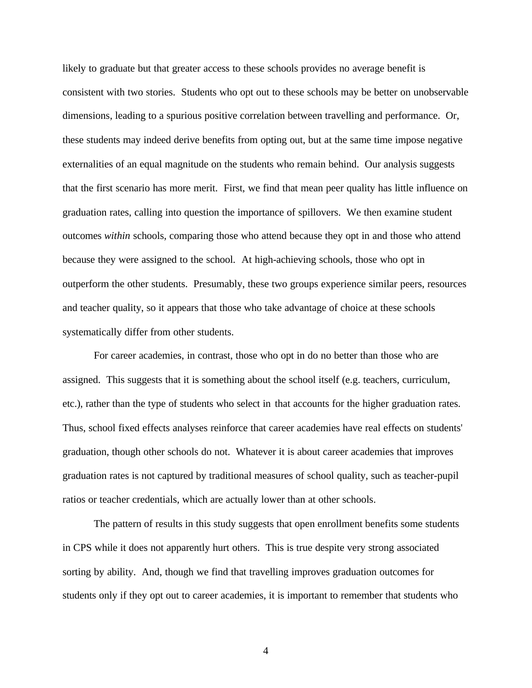likely to graduate but that greater access to these schools provides no average benefit is consistent with two stories. Students who opt out to these schools may be better on unobservable dimensions, leading to a spurious positive correlation between travelling and performance. Or, these students may indeed derive benefits from opting out, but at the same time impose negative externalities of an equal magnitude on the students who remain behind. Our analysis suggests that the first scenario has more merit. First, we find that mean peer quality has little influence on graduation rates, calling into question the importance of spillovers. We then examine student outcomes *within* schools, comparing those who attend because they opt in and those who attend because they were assigned to the school. At high-achieving schools, those who opt in outperform the other students. Presumably, these two groups experience similar peers, resources and teacher quality, so it appears that those who take advantage of choice at these schools systematically differ from other students.

For career academies, in contrast, those who opt in do no better than those who are assigned. This suggests that it is something about the school itself (e.g. teachers, curriculum, etc.), rather than the type of students who select in that accounts for the higher graduation rates. Thus, school fixed effects analyses reinforce that career academies have real effects on students' graduation, though other schools do not. Whatever it is about career academies that improves graduation rates is not captured by traditional measures of school quality, such as teacher-pupil ratios or teacher credentials, which are actually lower than at other schools.

The pattern of results in this study suggests that open enrollment benefits some students in CPS while it does not apparently hurt others. This is true despite very strong associated sorting by ability. And, though we find that travelling improves graduation outcomes for students only if they opt out to career academies, it is important to remember that students who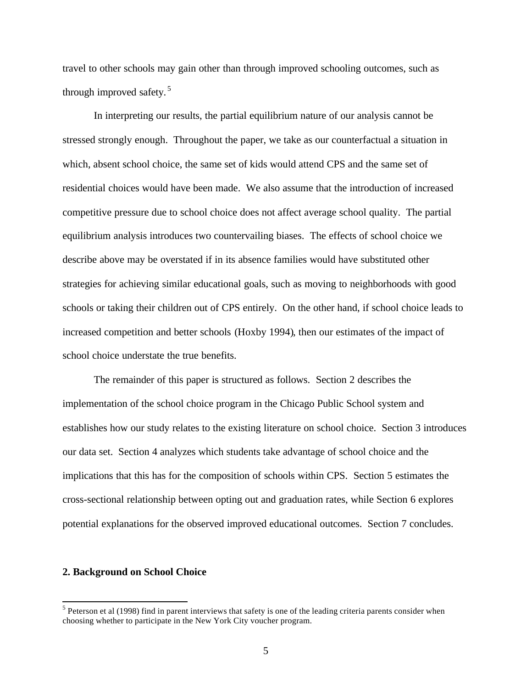travel to other schools may gain other than through improved schooling outcomes, such as through improved safety. <sup>5</sup>

In interpreting our results, the partial equilibrium nature of our analysis cannot be stressed strongly enough. Throughout the paper, we take as our counterfactual a situation in which, absent school choice, the same set of kids would attend CPS and the same set of residential choices would have been made. We also assume that the introduction of increased competitive pressure due to school choice does not affect average school quality. The partial equilibrium analysis introduces two countervailing biases. The effects of school choice we describe above may be overstated if in its absence families would have substituted other strategies for achieving similar educational goals, such as moving to neighborhoods with good schools or taking their children out of CPS entirely. On the other hand, if school choice leads to increased competition and better schools (Hoxby 1994), then our estimates of the impact of school choice understate the true benefits.

The remainder of this paper is structured as follows. Section 2 describes the implementation of the school choice program in the Chicago Public School system and establishes how our study relates to the existing literature on school choice. Section 3 introduces our data set. Section 4 analyzes which students take advantage of school choice and the implications that this has for the composition of schools within CPS. Section 5 estimates the cross-sectional relationship between opting out and graduation rates, while Section 6 explores potential explanations for the observed improved educational outcomes. Section 7 concludes.

## **2. Background on School Choice**

 $<sup>5</sup>$  Peterson et al (1998) find in parent interviews that safety is one of the leading criteria parents consider when</sup> choosing whether to participate in the New York City voucher program.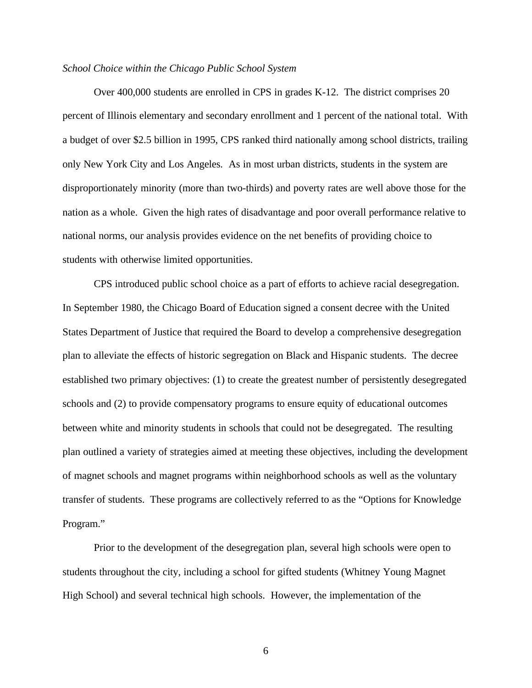## *School Choice within the Chicago Public School System*

Over 400,000 students are enrolled in CPS in grades K-12. The district comprises 20 percent of Illinois elementary and secondary enrollment and 1 percent of the national total. With a budget of over \$2.5 billion in 1995, CPS ranked third nationally among school districts, trailing only New York City and Los Angeles. As in most urban districts, students in the system are disproportionately minority (more than two-thirds) and poverty rates are well above those for the nation as a whole. Given the high rates of disadvantage and poor overall performance relative to national norms, our analysis provides evidence on the net benefits of providing choice to students with otherwise limited opportunities.

CPS introduced public school choice as a part of efforts to achieve racial desegregation. In September 1980, the Chicago Board of Education signed a consent decree with the United States Department of Justice that required the Board to develop a comprehensive desegregation plan to alleviate the effects of historic segregation on Black and Hispanic students. The decree established two primary objectives: (1) to create the greatest number of persistently desegregated schools and (2) to provide compensatory programs to ensure equity of educational outcomes between white and minority students in schools that could not be desegregated. The resulting plan outlined a variety of strategies aimed at meeting these objectives, including the development of magnet schools and magnet programs within neighborhood schools as well as the voluntary transfer of students. These programs are collectively referred to as the "Options for Knowledge Program."

Prior to the development of the desegregation plan, several high schools were open to students throughout the city, including a school for gifted students (Whitney Young Magnet High School) and several technical high schools. However, the implementation of the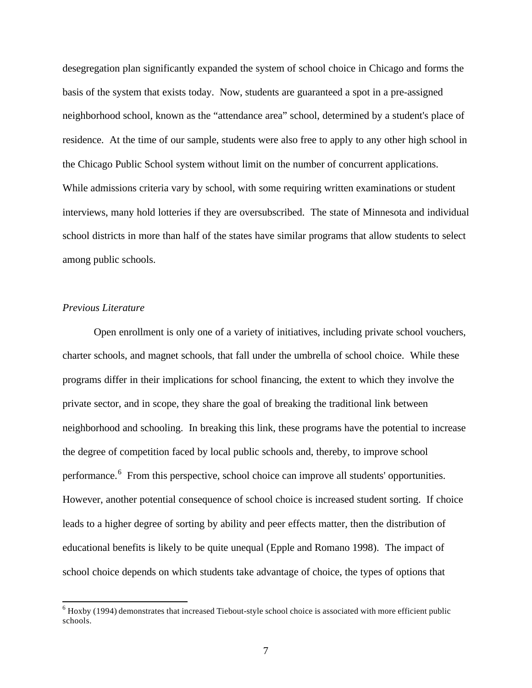desegregation plan significantly expanded the system of school choice in Chicago and forms the basis of the system that exists today. Now, students are guaranteed a spot in a pre-assigned neighborhood school, known as the "attendance area" school, determined by a student's place of residence. At the time of our sample, students were also free to apply to any other high school in the Chicago Public School system without limit on the number of concurrent applications. While admissions criteria vary by school, with some requiring written examinations or student interviews, many hold lotteries if they are oversubscribed. The state of Minnesota and individual school districts in more than half of the states have similar programs that allow students to select among public schools.

## *Previous Literature*

l

Open enrollment is only one of a variety of initiatives, including private school vouchers, charter schools, and magnet schools, that fall under the umbrella of school choice. While these programs differ in their implications for school financing, the extent to which they involve the private sector, and in scope, they share the goal of breaking the traditional link between neighborhood and schooling. In breaking this link, these programs have the potential to increase the degree of competition faced by local public schools and, thereby, to improve school performance.<sup>6</sup> From this perspective, school choice can improve all students' opportunities. However, another potential consequence of school choice is increased student sorting. If choice leads to a higher degree of sorting by ability and peer effects matter, then the distribution of educational benefits is likely to be quite unequal (Epple and Romano 1998). The impact of school choice depends on which students take advantage of choice, the types of options that

 $6$  Hoxby (1994) demonstrates that increased Tiebout-style school choice is associated with more efficient public schools.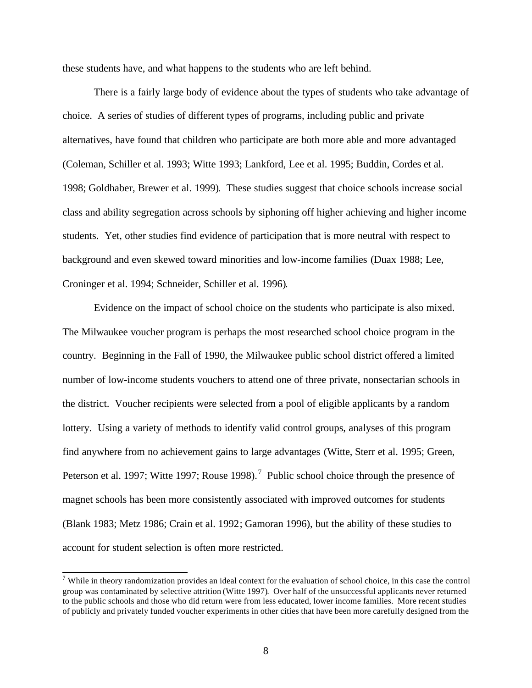these students have, and what happens to the students who are left behind.

There is a fairly large body of evidence about the types of students who take advantage of choice. A series of studies of different types of programs, including public and private alternatives, have found that children who participate are both more able and more advantaged (Coleman, Schiller et al. 1993; Witte 1993; Lankford, Lee et al. 1995; Buddin, Cordes et al. 1998; Goldhaber, Brewer et al. 1999). These studies suggest that choice schools increase social class and ability segregation across schools by siphoning off higher achieving and higher income students. Yet, other studies find evidence of participation that is more neutral with respect to background and even skewed toward minorities and low-income families (Duax 1988; Lee, Croninger et al. 1994; Schneider, Schiller et al. 1996).

Evidence on the impact of school choice on the students who participate is also mixed. The Milwaukee voucher program is perhaps the most researched school choice program in the country. Beginning in the Fall of 1990, the Milwaukee public school district offered a limited number of low-income students vouchers to attend one of three private, nonsectarian schools in the district. Voucher recipients were selected from a pool of eligible applicants by a random lottery. Using a variety of methods to identify valid control groups, analyses of this program find anywhere from no achievement gains to large advantages (Witte, Sterr et al. 1995; Green, Peterson et al. 1997; Witte 1997; Rouse 1998).<sup>7</sup> Public school choice through the presence of magnet schools has been more consistently associated with improved outcomes for students (Blank 1983; Metz 1986; Crain et al. 1992; Gamoran 1996), but the ability of these studies to account for student selection is often more restricted.

 $<sup>7</sup>$  While in theory randomization provides an ideal context for the evaluation of school choice, in this case the control</sup> group was contaminated by selective attrition (Witte 1997). Over half of the unsuccessful applicants never returned to the public schools and those who did return were from less educated, lower income families. More recent studies of publicly and privately funded voucher experiments in other cities that have been more carefully designed from the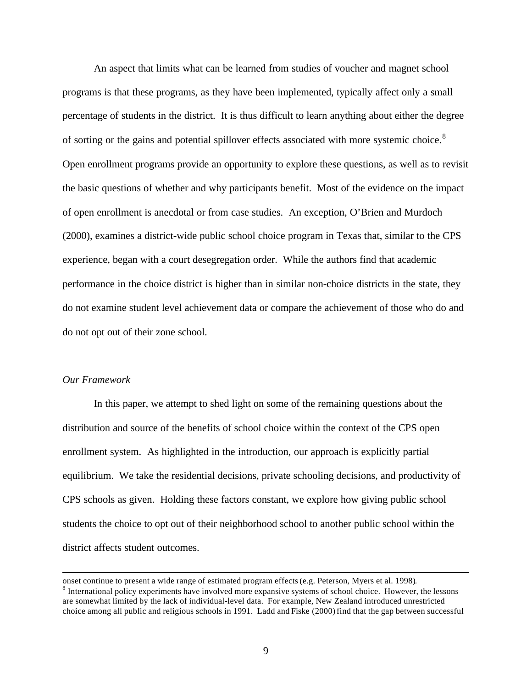An aspect that limits what can be learned from studies of voucher and magnet school programs is that these programs, as they have been implemented, typically affect only a small percentage of students in the district. It is thus difficult to learn anything about either the degree of sorting or the gains and potential spillover effects associated with more systemic choice.<sup>8</sup> Open enrollment programs provide an opportunity to explore these questions, as well as to revisit the basic questions of whether and why participants benefit. Most of the evidence on the impact of open enrollment is anecdotal or from case studies. An exception, O'Brien and Murdoch (2000), examines a district-wide public school choice program in Texas that, similar to the CPS experience, began with a court desegregation order. While the authors find that academic performance in the choice district is higher than in similar non-choice districts in the state, they do not examine student level achievement data or compare the achievement of those who do and do not opt out of their zone school.

## *Our Framework*

l

In this paper, we attempt to shed light on some of the remaining questions about the distribution and source of the benefits of school choice within the context of the CPS open enrollment system. As highlighted in the introduction, our approach is explicitly partial equilibrium. We take the residential decisions, private schooling decisions, and productivity of CPS schools as given. Holding these factors constant, we explore how giving public school students the choice to opt out of their neighborhood school to another public school within the district affects student outcomes.

onset continue to present a wide range of estimated program effects (e.g. Peterson, Myers et al. 1998). <sup>8</sup> International policy experiments have involved more expansive systems of school choice. However, the lessons are somewhat limited by the lack of individual-level data. For example, New Zealand introduced unrestricted choice among all public and religious schools in 1991. Ladd and Fiske (2000) find that the gap between successful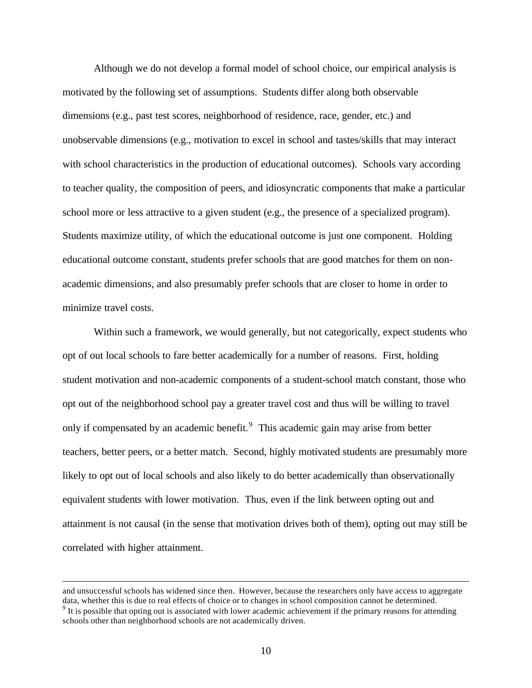Although we do not develop a formal model of school choice, our empirical analysis is motivated by the following set of assumptions. Students differ along both observable dimensions (e.g., past test scores, neighborhood of residence, race, gender, etc.) and unobservable dimensions (e.g., motivation to excel in school and tastes/skills that may interact with school characteristics in the production of educational outcomes). Schools vary according to teacher quality, the composition of peers, and idiosyncratic components that make a particular school more or less attractive to a given student (e.g., the presence of a specialized program). Students maximize utility, of which the educational outcome is just one component. Holding educational outcome constant, students prefer schools that are good matches for them on nonacademic dimensions, and also presumably prefer schools that are closer to home in order to minimize travel costs.

Within such a framework, we would generally, but not categorically, expect students who opt of out local schools to fare better academically for a number of reasons. First, holding student motivation and non-academic components of a student-school match constant, those who opt out of the neighborhood school pay a greater travel cost and thus will be willing to travel only if compensated by an academic benefit.<sup>9</sup> This academic gain may arise from better teachers, better peers, or a better match. Second, highly motivated students are presumably more likely to opt out of local schools and also likely to do better academically than observationally equivalent students with lower motivation. Thus, even if the link between opting out and attainment is not causal (in the sense that motivation drives both of them), opting out may still be correlated with higher attainment.

and unsuccessful schools has widened since then. However, because the researchers only have access to aggregate data, whether this is due to real effects of choice or to changes in school composition cannot be determined.  $9$  It is possible that opting out is associated with lower academic achievement if the primary reasons for attending schools other than neighborhood schools are not academically driven.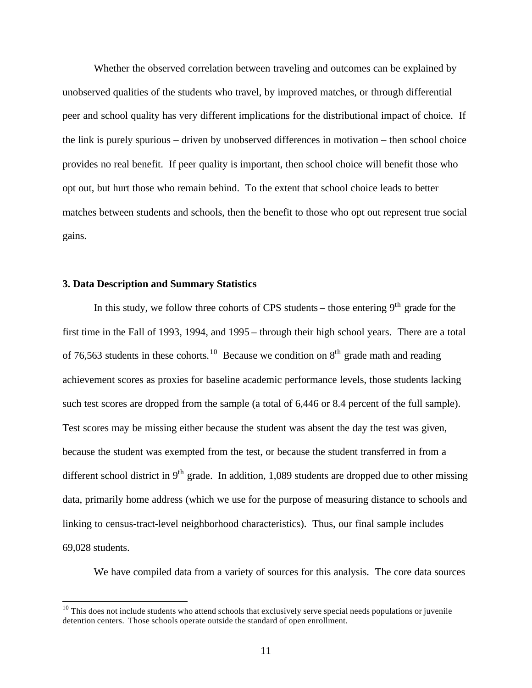Whether the observed correlation between traveling and outcomes can be explained by unobserved qualities of the students who travel, by improved matches, or through differential peer and school quality has very different implications for the distributional impact of choice. If the link is purely spurious – driven by unobserved differences in motivation – then school choice provides no real benefit. If peer quality is important, then school choice will benefit those who opt out, but hurt those who remain behind. To the extent that school choice leads to better matches between students and schools, then the benefit to those who opt out represent true social gains.

## **3. Data Description and Summary Statistics**

l

In this study, we follow three cohorts of CPS students – those entering  $9<sup>th</sup>$  grade for the first time in the Fall of 1993, 1994, and 1995 – through their high school years. There are a total of 76,563 students in these cohorts.<sup>10</sup> Because we condition on  $8<sup>th</sup>$  grade math and reading achievement scores as proxies for baseline academic performance levels, those students lacking such test scores are dropped from the sample (a total of 6,446 or 8.4 percent of the full sample). Test scores may be missing either because the student was absent the day the test was given, because the student was exempted from the test, or because the student transferred in from a different school district in  $9<sup>th</sup>$  grade. In addition, 1,089 students are dropped due to other missing data, primarily home address (which we use for the purpose of measuring distance to schools and linking to census-tract-level neighborhood characteristics). Thus, our final sample includes 69,028 students.

We have compiled data from a variety of sources for this analysis. The core data sources

 $10$  This does not include students who attend schools that exclusively serve special needs populations or juvenile detention centers. Those schools operate outside the standard of open enrollment.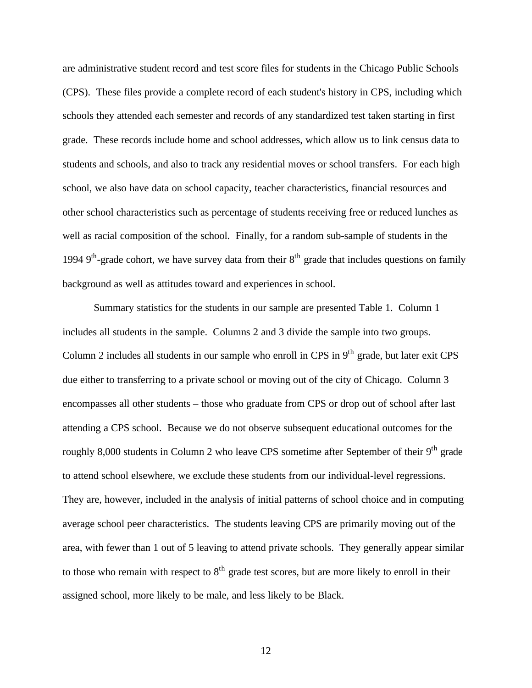are administrative student record and test score files for students in the Chicago Public Schools (CPS). These files provide a complete record of each student's history in CPS, including which schools they attended each semester and records of any standardized test taken starting in first grade. These records include home and school addresses, which allow us to link census data to students and schools, and also to track any residential moves or school transfers. For each high school, we also have data on school capacity, teacher characteristics, financial resources and other school characteristics such as percentage of students receiving free or reduced lunches as well as racial composition of the school. Finally, for a random sub-sample of students in the 1994  $9<sup>th</sup>$ -grade cohort, we have survey data from their  $8<sup>th</sup>$  grade that includes questions on family background as well as attitudes toward and experiences in school.

Summary statistics for the students in our sample are presented Table 1. Column 1 includes all students in the sample. Columns 2 and 3 divide the sample into two groups. Column 2 includes all students in our sample who enroll in CPS in  $9<sup>th</sup>$  grade, but later exit CPS due either to transferring to a private school or moving out of the city of Chicago. Column 3 encompasses all other students – those who graduate from CPS or drop out of school after last attending a CPS school. Because we do not observe subsequent educational outcomes for the roughly 8,000 students in Column 2 who leave CPS sometime after September of their 9<sup>th</sup> grade to attend school elsewhere, we exclude these students from our individual-level regressions. They are, however, included in the analysis of initial patterns of school choice and in computing average school peer characteristics. The students leaving CPS are primarily moving out of the area, with fewer than 1 out of 5 leaving to attend private schools. They generally appear similar to those who remain with respect to  $8<sup>th</sup>$  grade test scores, but are more likely to enroll in their assigned school, more likely to be male, and less likely to be Black.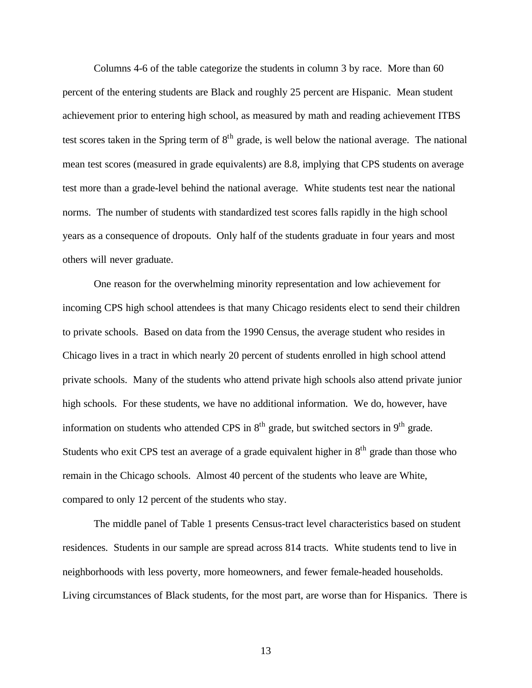Columns 4-6 of the table categorize the students in column 3 by race. More than 60 percent of the entering students are Black and roughly 25 percent are Hispanic. Mean student achievement prior to entering high school, as measured by math and reading achievement ITBS test scores taken in the Spring term of 8<sup>th</sup> grade, is well below the national average. The national mean test scores (measured in grade equivalents) are 8.8, implying that CPS students on average test more than a grade-level behind the national average. White students test near the national norms. The number of students with standardized test scores falls rapidly in the high school years as a consequence of dropouts. Only half of the students graduate in four years and most others will never graduate.

One reason for the overwhelming minority representation and low achievement for incoming CPS high school attendees is that many Chicago residents elect to send their children to private schools. Based on data from the 1990 Census, the average student who resides in Chicago lives in a tract in which nearly 20 percent of students enrolled in high school attend private schools. Many of the students who attend private high schools also attend private junior high schools. For these students, we have no additional information. We do, however, have information on students who attended CPS in  $8<sup>th</sup>$  grade, but switched sectors in  $9<sup>th</sup>$  grade. Students who exit CPS test an average of a grade equivalent higher in  $8<sup>th</sup>$  grade than those who remain in the Chicago schools. Almost 40 percent of the students who leave are White, compared to only 12 percent of the students who stay.

The middle panel of Table 1 presents Census-tract level characteristics based on student residences. Students in our sample are spread across 814 tracts. White students tend to live in neighborhoods with less poverty, more homeowners, and fewer female-headed households. Living circumstances of Black students, for the most part, are worse than for Hispanics. There is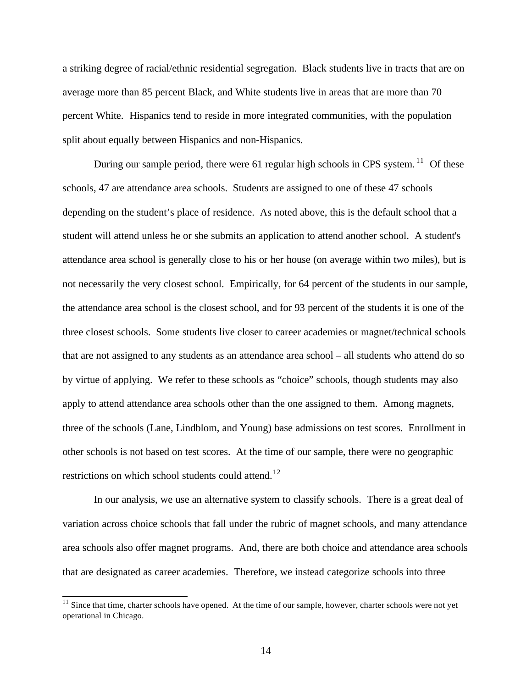a striking degree of racial/ethnic residential segregation. Black students live in tracts that are on average more than 85 percent Black, and White students live in areas that are more than 70 percent White. Hispanics tend to reside in more integrated communities, with the population split about equally between Hispanics and non-Hispanics.

During our sample period, there were 61 regular high schools in CPS system.<sup>11</sup> Of these schools, 47 are attendance area schools. Students are assigned to one of these 47 schools depending on the student's place of residence. As noted above, this is the default school that a student will attend unless he or she submits an application to attend another school. A student's attendance area school is generally close to his or her house (on average within two miles), but is not necessarily the very closest school. Empirically, for 64 percent of the students in our sample, the attendance area school is the closest school, and for 93 percent of the students it is one of the three closest schools. Some students live closer to career academies or magnet/technical schools that are not assigned to any students as an attendance area school – all students who attend do so by virtue of applying. We refer to these schools as "choice" schools, though students may also apply to attend attendance area schools other than the one assigned to them. Among magnets, three of the schools (Lane, Lindblom, and Young) base admissions on test scores. Enrollment in other schools is not based on test scores. At the time of our sample, there were no geographic restrictions on which school students could attend.<sup>12</sup>

In our analysis, we use an alternative system to classify schools. There is a great deal of variation across choice schools that fall under the rubric of magnet schools, and many attendance area schools also offer magnet programs. And, there are both choice and attendance area schools that are designated as career academies. Therefore, we instead categorize schools into three

 $11$  Since that time, charter schools have opened. At the time of our sample, however, charter schools were not yet operational in Chicago.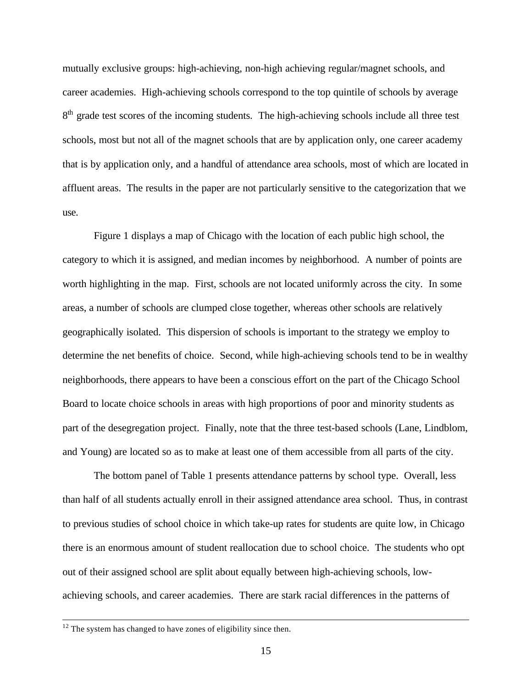mutually exclusive groups: high-achieving, non-high achieving regular/magnet schools, and career academies. High-achieving schools correspond to the top quintile of schools by average 8<sup>th</sup> grade test scores of the incoming students. The high-achieving schools include all three test schools, most but not all of the magnet schools that are by application only, one career academy that is by application only, and a handful of attendance area schools, most of which are located in affluent areas. The results in the paper are not particularly sensitive to the categorization that we use.

Figure 1 displays a map of Chicago with the location of each public high school, the category to which it is assigned, and median incomes by neighborhood. A number of points are worth highlighting in the map. First, schools are not located uniformly across the city. In some areas, a number of schools are clumped close together, whereas other schools are relatively geographically isolated. This dispersion of schools is important to the strategy we employ to determine the net benefits of choice. Second, while high-achieving schools tend to be in wealthy neighborhoods, there appears to have been a conscious effort on the part of the Chicago School Board to locate choice schools in areas with high proportions of poor and minority students as part of the desegregation project. Finally, note that the three test-based schools (Lane, Lindblom, and Young) are located so as to make at least one of them accessible from all parts of the city.

The bottom panel of Table 1 presents attendance patterns by school type. Overall, less than half of all students actually enroll in their assigned attendance area school. Thus, in contrast to previous studies of school choice in which take-up rates for students are quite low, in Chicago there is an enormous amount of student reallocation due to school choice. The students who opt out of their assigned school are split about equally between high-achieving schools, lowachieving schools, and career academies. There are stark racial differences in the patterns of

 $12$  The system has changed to have zones of eligibility since then.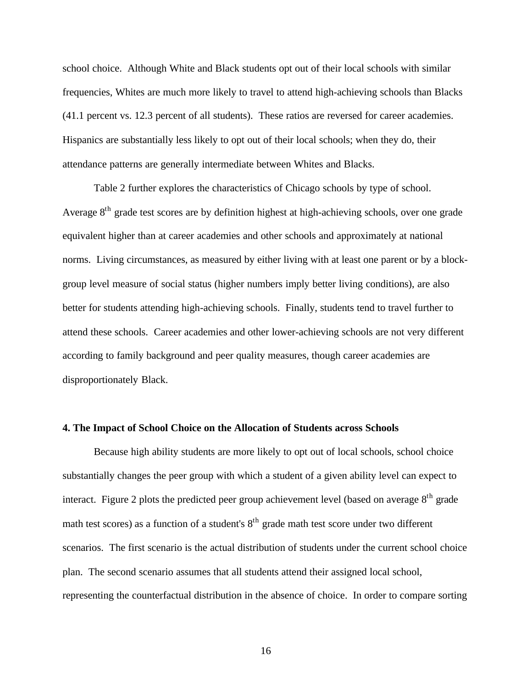school choice. Although White and Black students opt out of their local schools with similar frequencies, Whites are much more likely to travel to attend high-achieving schools than Blacks (41.1 percent vs. 12.3 percent of all students). These ratios are reversed for career academies. Hispanics are substantially less likely to opt out of their local schools; when they do, their attendance patterns are generally intermediate between Whites and Blacks.

Table 2 further explores the characteristics of Chicago schools by type of school. Average 8<sup>th</sup> grade test scores are by definition highest at high-achieving schools, over one grade equivalent higher than at career academies and other schools and approximately at national norms. Living circumstances, as measured by either living with at least one parent or by a blockgroup level measure of social status (higher numbers imply better living conditions), are also better for students attending high-achieving schools. Finally, students tend to travel further to attend these schools. Career academies and other lower-achieving schools are not very different according to family background and peer quality measures, though career academies are disproportionately Black.

#### **4. The Impact of School Choice on the Allocation of Students across Schools**

Because high ability students are more likely to opt out of local schools, school choice substantially changes the peer group with which a student of a given ability level can expect to interact. Figure 2 plots the predicted peer group achievement level (based on average  $8<sup>th</sup>$  grade math test scores) as a function of a student's  $8<sup>th</sup>$  grade math test score under two different scenarios. The first scenario is the actual distribution of students under the current school choice plan. The second scenario assumes that all students attend their assigned local school, representing the counterfactual distribution in the absence of choice. In order to compare sorting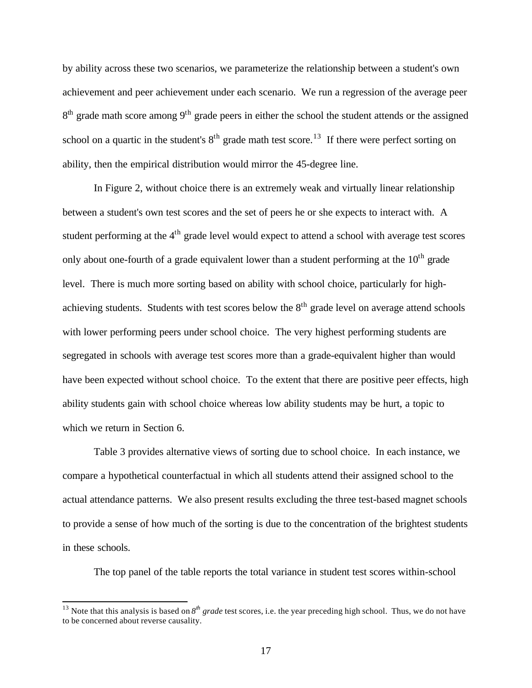by ability across these two scenarios, we parameterize the relationship between a student's own achievement and peer achievement under each scenario. We run a regression of the average peer 8<sup>th</sup> grade math score among 9<sup>th</sup> grade peers in either the school the student attends or the assigned school on a quartic in the student's  $8<sup>th</sup>$  grade math test score.<sup>13</sup> If there were perfect sorting on ability, then the empirical distribution would mirror the 45-degree line.

In Figure 2, without choice there is an extremely weak and virtually linear relationship between a student's own test scores and the set of peers he or she expects to interact with. A student performing at the  $4<sup>th</sup>$  grade level would expect to attend a school with average test scores only about one-fourth of a grade equivalent lower than a student performing at the  $10<sup>th</sup>$  grade level. There is much more sorting based on ability with school choice, particularly for highachieving students. Students with test scores below the  $8<sup>th</sup>$  grade level on average attend schools with lower performing peers under school choice. The very highest performing students are segregated in schools with average test scores more than a grade-equivalent higher than would have been expected without school choice. To the extent that there are positive peer effects, high ability students gain with school choice whereas low ability students may be hurt, a topic to which we return in Section 6.

Table 3 provides alternative views of sorting due to school choice. In each instance, we compare a hypothetical counterfactual in which all students attend their assigned school to the actual attendance patterns. We also present results excluding the three test-based magnet schools to provide a sense of how much of the sorting is due to the concentration of the brightest students in these schools.

The top panel of the table reports the total variance in student test scores within-school

<sup>&</sup>lt;sup>13</sup> Note that this analysis is based on  $8^{th}$  *grade* test scores, i.e. the year preceding high school. Thus, we do not have to be concerned about reverse causality.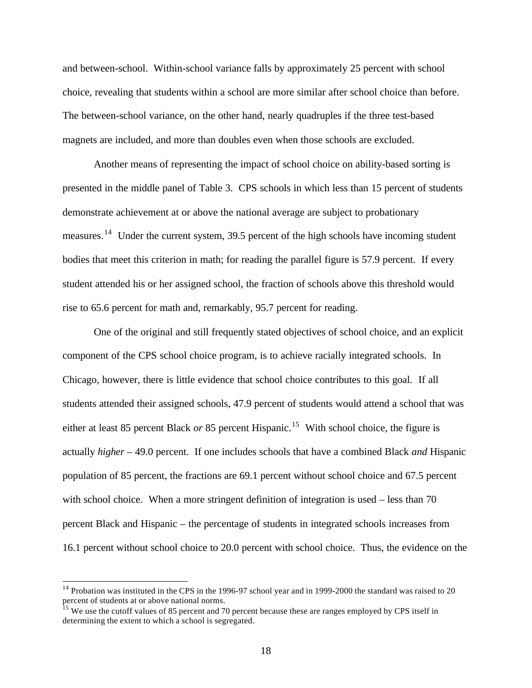and between-school. Within-school variance falls by approximately 25 percent with school choice, revealing that students within a school are more similar after school choice than before. The between-school variance, on the other hand, nearly quadruples if the three test-based magnets are included, and more than doubles even when those schools are excluded.

Another means of representing the impact of school choice on ability-based sorting is presented in the middle panel of Table 3. CPS schools in which less than 15 percent of students demonstrate achievement at or above the national average are subject to probationary measures.<sup>14</sup> Under the current system, 39.5 percent of the high schools have incoming student bodies that meet this criterion in math; for reading the parallel figure is 57.9 percent. If every student attended his or her assigned school, the fraction of schools above this threshold would rise to 65.6 percent for math and, remarkably, 95.7 percent for reading.

One of the original and still frequently stated objectives of school choice, and an explicit component of the CPS school choice program, is to achieve racially integrated schools. In Chicago, however, there is little evidence that school choice contributes to this goal. If all students attended their assigned schools, 47.9 percent of students would attend a school that was either at least 85 percent Black *or* 85 percent Hispanic.<sup>15</sup> With school choice, the figure is actually *higher* – 49.0 percent. If one includes schools that have a combined Black *and* Hispanic population of 85 percent, the fractions are 69.1 percent without school choice and 67.5 percent with school choice. When a more stringent definition of integration is used – less than 70 percent Black and Hispanic – the percentage of students in integrated schools increases from 16.1 percent without school choice to 20.0 percent with school choice. Thus, the evidence on the

 $14$  Probation was instituted in the CPS in the 1996-97 school year and in 1999-2000 the standard was raised to 20 percent of students at or above national norms.

<sup>&</sup>lt;sup>15</sup> We use the cutoff values of 85 percent and 70 percent because these are ranges employed by CPS itself in determining the extent to which a school is segregated.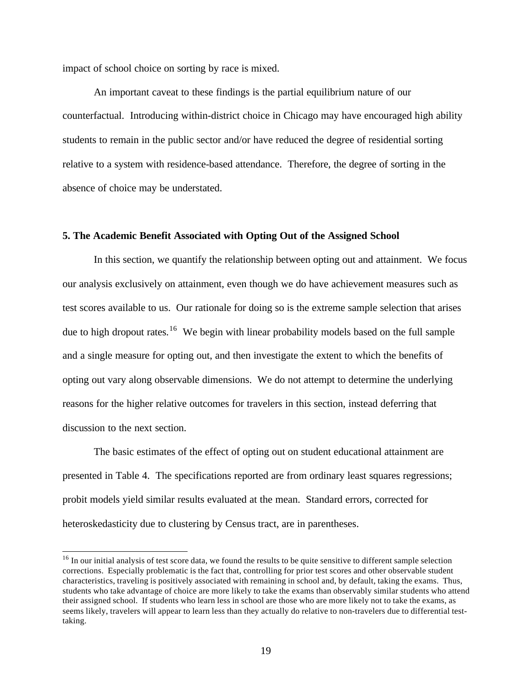impact of school choice on sorting by race is mixed.

l

An important caveat to these findings is the partial equilibrium nature of our counterfactual. Introducing within-district choice in Chicago may have encouraged high ability students to remain in the public sector and/or have reduced the degree of residential sorting relative to a system with residence-based attendance. Therefore, the degree of sorting in the absence of choice may be understated.

## **5. The Academic Benefit Associated with Opting Out of the Assigned School**

In this section, we quantify the relationship between opting out and attainment. We focus our analysis exclusively on attainment, even though we do have achievement measures such as test scores available to us. Our rationale for doing so is the extreme sample selection that arises due to high dropout rates.<sup>16</sup> We begin with linear probability models based on the full sample and a single measure for opting out, and then investigate the extent to which the benefits of opting out vary along observable dimensions. We do not attempt to determine the underlying reasons for the higher relative outcomes for travelers in this section, instead deferring that discussion to the next section.

The basic estimates of the effect of opting out on student educational attainment are presented in Table 4. The specifications reported are from ordinary least squares regressions; probit models yield similar results evaluated at the mean. Standard errors, corrected for heteroskedasticity due to clustering by Census tract, are in parentheses.

<sup>&</sup>lt;sup>16</sup> In our initial analysis of test score data, we found the results to be quite sensitive to different sample selection corrections. Especially problematic is the fact that, controlling for prior test scores and other observable student characteristics, traveling is positively associated with remaining in school and, by default, taking the exams. Thus, students who take advantage of choice are more likely to take the exams than observably similar students who attend their assigned school. If students who learn less in school are those who are more likely not to take the exams, as seems likely, travelers will appear to learn less than they actually do relative to non-travelers due to differential testtaking.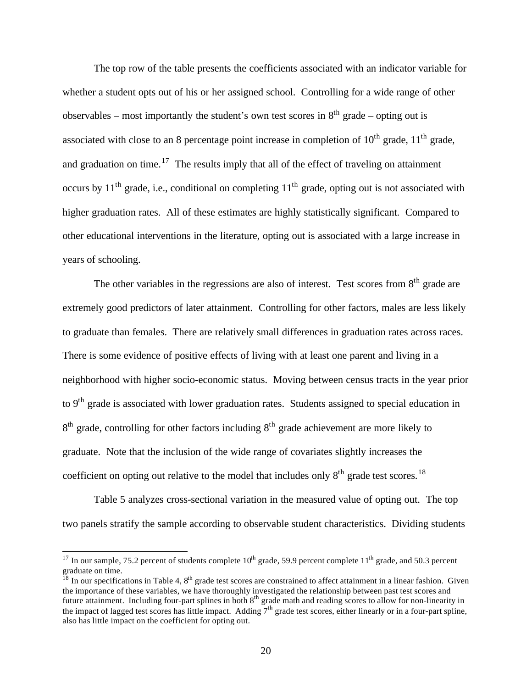The top row of the table presents the coefficients associated with an indicator variable for whether a student opts out of his or her assigned school. Controlling for a wide range of other observables – most importantly the student's own test scores in  $8<sup>th</sup>$  grade – opting out is associated with close to an 8 percentage point increase in completion of  $10^{th}$  grade,  $11^{th}$  grade, and graduation on time.<sup>17</sup> The results imply that all of the effect of traveling on attainment occurs by  $11<sup>th</sup>$  grade, i.e., conditional on completing  $11<sup>th</sup>$  grade, opting out is not associated with higher graduation rates. All of these estimates are highly statistically significant. Compared to other educational interventions in the literature, opting out is associated with a large increase in years of schooling.

The other variables in the regressions are also of interest. Test scores from  $8<sup>th</sup>$  grade are extremely good predictors of later attainment. Controlling for other factors, males are less likely to graduate than females. There are relatively small differences in graduation rates across races. There is some evidence of positive effects of living with at least one parent and living in a neighborhood with higher socio-economic status. Moving between census tracts in the year prior to  $9<sup>th</sup>$  grade is associated with lower graduation rates. Students assigned to special education in 8<sup>th</sup> grade, controlling for other factors including 8<sup>th</sup> grade achievement are more likely to graduate. Note that the inclusion of the wide range of covariates slightly increases the coefficient on opting out relative to the model that includes only  $8<sup>th</sup>$  grade test scores.<sup>18</sup>

Table 5 analyzes cross-sectional variation in the measured value of opting out. The top two panels stratify the sample according to observable student characteristics. Dividing students

<sup>&</sup>lt;sup>17</sup> In our sample, 75.2 percent of students complete  $10^{th}$  grade, 59.9 percent complete  $11^{th}$  grade, and 50.3 percent graduate on time.

 $\frac{18}{18}$  In our specifications in Table 4,  $8^{\text{th}}$  grade test scores are constrained to affect attainment in a linear fashion. Given the importance of these variables, we have thoroughly investigated the relationship between past test scores and future attainment. Including four-part splines in both 8<sup>th</sup> grade math and reading scores to allow for non-linearity in the impact of lagged test scores has little impact. Adding  $7<sup>th</sup>$  grade test scores, either linearly or in a four-part spline, also has little impact on the coefficient for opting out.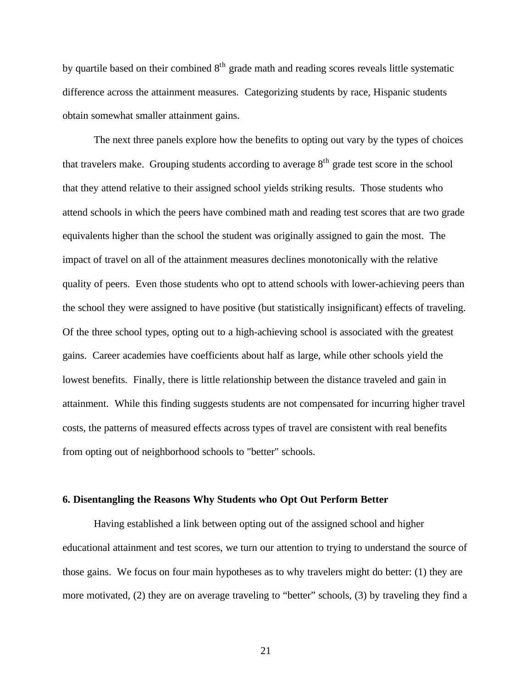by quartile based on their combined  $8<sup>th</sup>$  grade math and reading scores reveals little systematic difference across the attainment measures. Categorizing students by race, Hispanic students obtain somewhat smaller attainment gains.

The next three panels explore how the benefits to opting out vary by the types of choices that travelers make. Grouping students according to average  $8<sup>th</sup>$  grade test score in the school that they attend relative to their assigned school yields striking results. Those students who attend schools in which the peers have combined math and reading test scores that are two grade equivalents higher than the school the student was originally assigned to gain the most. The impact of travel on all of the attainment measures declines monotonically with the relative quality of peers. Even those students who opt to attend schools with lower-achieving peers than the school they were assigned to have positive (but statistically insignificant) effects of traveling. Of the three school types, opting out to a high-achieving school is associated with the greatest gains. Career academies have coefficients about half as large, while other schools yield the lowest benefits. Finally, there is little relationship between the distance traveled and gain in attainment. While this finding suggests students are not compensated for incurring higher travel costs, the patterns of measured effects across types of travel are consistent with real benefits from opting out of neighborhood schools to "better" schools.

## **6. Disentangling the Reasons Why Students who Opt Out Perform Better**

Having established a link between opting out of the assigned school and higher educational attainment and test scores, we turn our attention to trying to understand the source of those gains. We focus on four main hypotheses as to why travelers might do better: (1) they are more motivated, (2) they are on average traveling to "better" schools, (3) by traveling they find a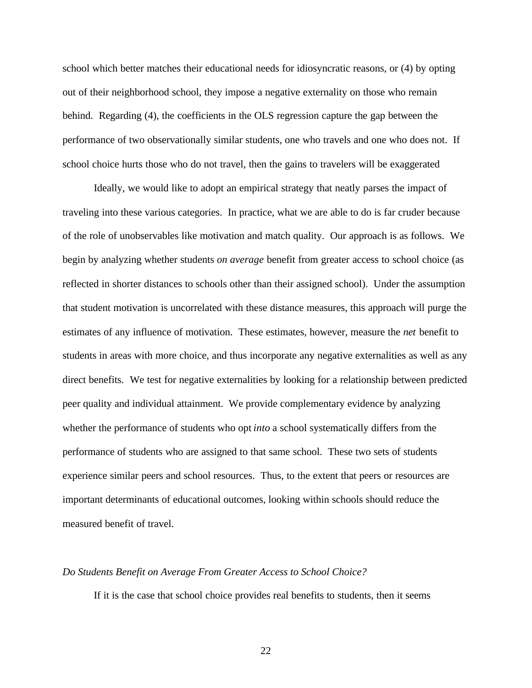school which better matches their educational needs for idiosyncratic reasons, or (4) by opting out of their neighborhood school, they impose a negative externality on those who remain behind. Regarding (4), the coefficients in the OLS regression capture the gap between the performance of two observationally similar students, one who travels and one who does not. If school choice hurts those who do not travel, then the gains to travelers will be exaggerated

Ideally, we would like to adopt an empirical strategy that neatly parses the impact of traveling into these various categories. In practice, what we are able to do is far cruder because of the role of unobservables like motivation and match quality. Our approach is as follows. We begin by analyzing whether students *on average* benefit from greater access to school choice (as reflected in shorter distances to schools other than their assigned school). Under the assumption that student motivation is uncorrelated with these distance measures, this approach will purge the estimates of any influence of motivation. These estimates, however, measure the *net* benefit to students in areas with more choice, and thus incorporate any negative externalities as well as any direct benefits. We test for negative externalities by looking for a relationship between predicted peer quality and individual attainment. We provide complementary evidence by analyzing whether the performance of students who opt *into* a school systematically differs from the performance of students who are assigned to that same school. These two sets of students experience similar peers and school resources. Thus, to the extent that peers or resources are important determinants of educational outcomes, looking within schools should reduce the measured benefit of travel.

## *Do Students Benefit on Average From Greater Access to School Choice?*

If it is the case that school choice provides real benefits to students, then it seems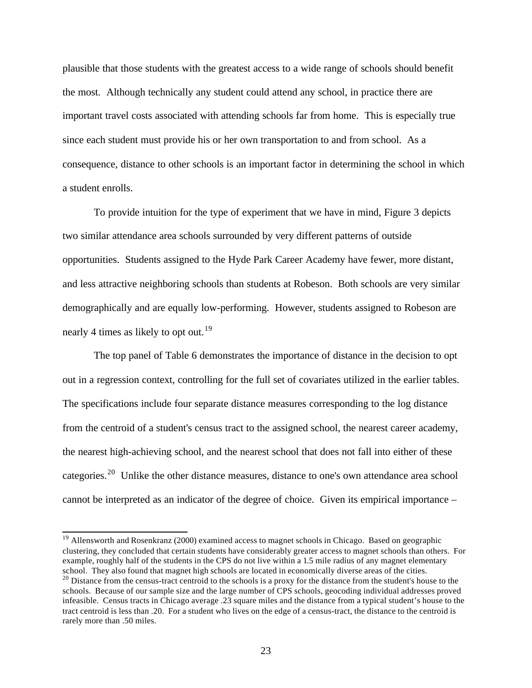plausible that those students with the greatest access to a wide range of schools should benefit the most. Although technically any student could attend any school, in practice there are important travel costs associated with attending schools far from home. This is especially true since each student must provide his or her own transportation to and from school. As a consequence, distance to other schools is an important factor in determining the school in which a student enrolls.

To provide intuition for the type of experiment that we have in mind, Figure 3 depicts two similar attendance area schools surrounded by very different patterns of outside opportunities. Students assigned to the Hyde Park Career Academy have fewer, more distant, and less attractive neighboring schools than students at Robeson. Both schools are very similar demographically and are equally low-performing. However, students assigned to Robeson are nearly 4 times as likely to opt out.<sup>19</sup>

The top panel of Table 6 demonstrates the importance of distance in the decision to opt out in a regression context, controlling for the full set of covariates utilized in the earlier tables. The specifications include four separate distance measures corresponding to the log distance from the centroid of a student's census tract to the assigned school, the nearest career academy, the nearest high-achieving school, and the nearest school that does not fall into either of these categories.<sup>20</sup> Unlike the other distance measures, distance to one's own attendance area school cannot be interpreted as an indicator of the degree of choice. Given its empirical importance –

<sup>&</sup>lt;sup>19</sup> Allensworth and Rosenkranz (2000) examined access to magnet schools in Chicago. Based on geographic clustering, they concluded that certain students have considerably greater access to magnet schools than others. For example, roughly half of the students in the CPS do not live within a 1.5 mile radius of any magnet elementary school. They also found that magnet high schools are located in economically diverse areas of the cities. <sup>20</sup> Distance from the census-tract centroid to the schools is a proxy for the distance from the student's house to the schools. Because of our sample size and the large number of CPS schools, geocoding individual addresses proved infeasible. Census tracts in Chicago average .23 square miles and the distance from a typical student's house to the tract centroid is less than .20. For a student who lives on the edge of a census-tract, the distance to the centroid is rarely more than .50 miles.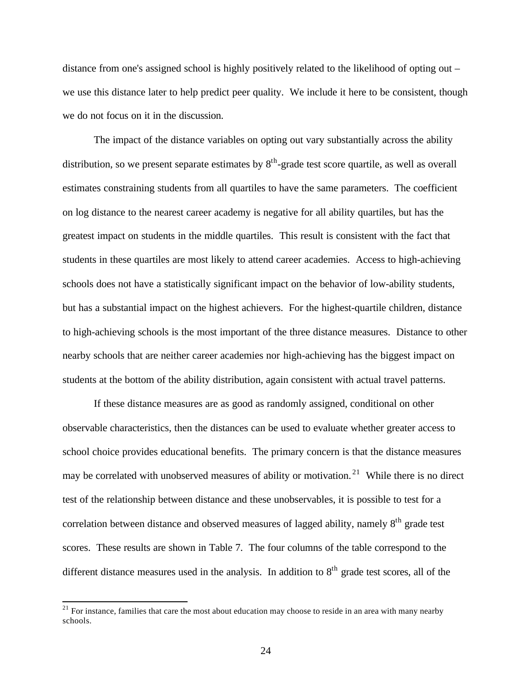distance from one's assigned school is highly positively related to the likelihood of opting out – we use this distance later to help predict peer quality. We include it here to be consistent, though we do not focus on it in the discussion.

The impact of the distance variables on opting out vary substantially across the ability distribution, so we present separate estimates by  $8<sup>th</sup>$ -grade test score quartile, as well as overall estimates constraining students from all quartiles to have the same parameters. The coefficient on log distance to the nearest career academy is negative for all ability quartiles, but has the greatest impact on students in the middle quartiles. This result is consistent with the fact that students in these quartiles are most likely to attend career academies. Access to high-achieving schools does not have a statistically significant impact on the behavior of low-ability students, but has a substantial impact on the highest achievers. For the highest-quartile children, distance to high-achieving schools is the most important of the three distance measures. Distance to other nearby schools that are neither career academies nor high-achieving has the biggest impact on students at the bottom of the ability distribution, again consistent with actual travel patterns.

If these distance measures are as good as randomly assigned, conditional on other observable characteristics, then the distances can be used to evaluate whether greater access to school choice provides educational benefits. The primary concern is that the distance measures may be correlated with unobserved measures of ability or motivation.<sup>21</sup> While there is no direct test of the relationship between distance and these unobservables, it is possible to test for a correlation between distance and observed measures of lagged ability, namely 8<sup>th</sup> grade test scores. These results are shown in Table 7. The four columns of the table correspond to the different distance measures used in the analysis. In addition to  $8<sup>th</sup>$  grade test scores, all of the

 $21$  For instance, families that care the most about education may choose to reside in an area with many nearby schools.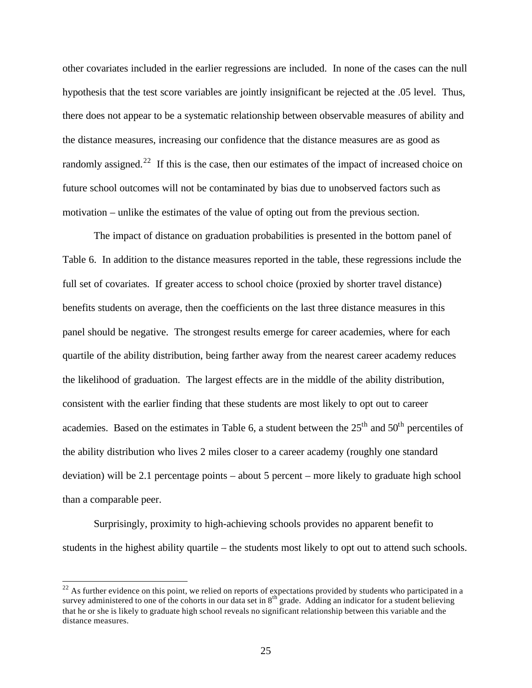other covariates included in the earlier regressions are included. In none of the cases can the null hypothesis that the test score variables are jointly insignificant be rejected at the .05 level. Thus, there does not appear to be a systematic relationship between observable measures of ability and the distance measures, increasing our confidence that the distance measures are as good as randomly assigned.<sup>22</sup> If this is the case, then our estimates of the impact of increased choice on future school outcomes will not be contaminated by bias due to unobserved factors such as motivation – unlike the estimates of the value of opting out from the previous section.

The impact of distance on graduation probabilities is presented in the bottom panel of Table 6. In addition to the distance measures reported in the table, these regressions include the full set of covariates. If greater access to school choice (proxied by shorter travel distance) benefits students on average, then the coefficients on the last three distance measures in this panel should be negative. The strongest results emerge for career academies, where for each quartile of the ability distribution, being farther away from the nearest career academy reduces the likelihood of graduation. The largest effects are in the middle of the ability distribution, consistent with the earlier finding that these students are most likely to opt out to career academies. Based on the estimates in Table 6, a student between the  $25<sup>th</sup>$  and  $50<sup>th</sup>$  percentiles of the ability distribution who lives 2 miles closer to a career academy (roughly one standard deviation) will be 2.1 percentage points – about 5 percent – more likely to graduate high school than a comparable peer.

Surprisingly, proximity to high-achieving schools provides no apparent benefit to students in the highest ability quartile – the students most likely to opt out to attend such schools.

 $^{22}$  As further evidence on this point, we relied on reports of expectations provided by students who participated in a survey administered to one of the cohorts in our data set in  $8<sup>th</sup>$  grade. Adding an indicator for a student believing that he or she is likely to graduate high school reveals no significant relationship between this variable and the distance measures.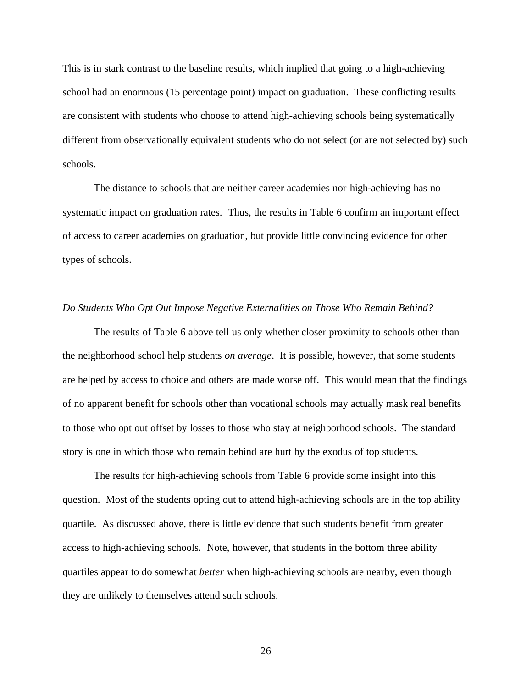This is in stark contrast to the baseline results, which implied that going to a high-achieving school had an enormous (15 percentage point) impact on graduation. These conflicting results are consistent with students who choose to attend high-achieving schools being systematically different from observationally equivalent students who do not select (or are not selected by) such schools.

The distance to schools that are neither career academies nor high-achieving has no systematic impact on graduation rates. Thus, the results in Table 6 confirm an important effect of access to career academies on graduation, but provide little convincing evidence for other types of schools.

## *Do Students Who Opt Out Impose Negative Externalities on Those Who Remain Behind?*

The results of Table 6 above tell us only whether closer proximity to schools other than the neighborhood school help students *on average*. It is possible, however, that some students are helped by access to choice and others are made worse off. This would mean that the findings of no apparent benefit for schools other than vocational schools may actually mask real benefits to those who opt out offset by losses to those who stay at neighborhood schools. The standard story is one in which those who remain behind are hurt by the exodus of top students.

The results for high-achieving schools from Table 6 provide some insight into this question. Most of the students opting out to attend high-achieving schools are in the top ability quartile. As discussed above, there is little evidence that such students benefit from greater access to high-achieving schools. Note, however, that students in the bottom three ability quartiles appear to do somewhat *better* when high-achieving schools are nearby, even though they are unlikely to themselves attend such schools.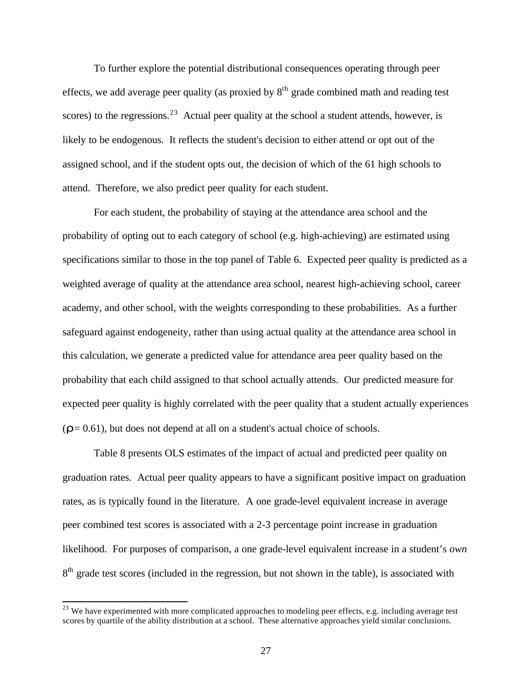To further explore the potential distributional consequences operating through peer effects, we add average peer quality (as proxied by  $8<sup>th</sup>$  grade combined math and reading test scores) to the regressions.<sup>23</sup> Actual peer quality at the school a student attends, however, is likely to be endogenous. It reflects the student's decision to either attend or opt out of the assigned school, and if the student opts out, the decision of which of the 61 high schools to attend. Therefore, we also predict peer quality for each student.

For each student, the probability of staying at the attendance area school and the probability of opting out to each category of school (e.g. high-achieving) are estimated using specifications similar to those in the top panel of Table 6. Expected peer quality is predicted as a weighted average of quality at the attendance area school, nearest high-achieving school, career academy, and other school, with the weights corresponding to these probabilities. As a further safeguard against endogeneity, rather than using actual quality at the attendance area school in this calculation, we generate a predicted value for attendance area peer quality based on the probability that each child assigned to that school actually attends. Our predicted measure for expected peer quality is highly correlated with the peer quality that a student actually experiences (*r*= 0.61), but does not depend at all on a student's actual choice of schools.

Table 8 presents OLS estimates of the impact of actual and predicted peer quality on graduation rates. Actual peer quality appears to have a significant positive impact on graduation rates, as is typically found in the literature. A one grade-level equivalent increase in average peer combined test scores is associated with a 2-3 percentage point increase in graduation likelihood. For purposes of comparison, a one grade-level equivalent increase in a student's *own* 8<sup>th</sup> grade test scores (included in the regression, but not shown in the table), is associated with

 $^{23}$  We have experimented with more complicated approaches to modeling peer effects, e.g. including average test scores by quartile of the ability distribution at a school. These alternative approaches yield similar conclusions.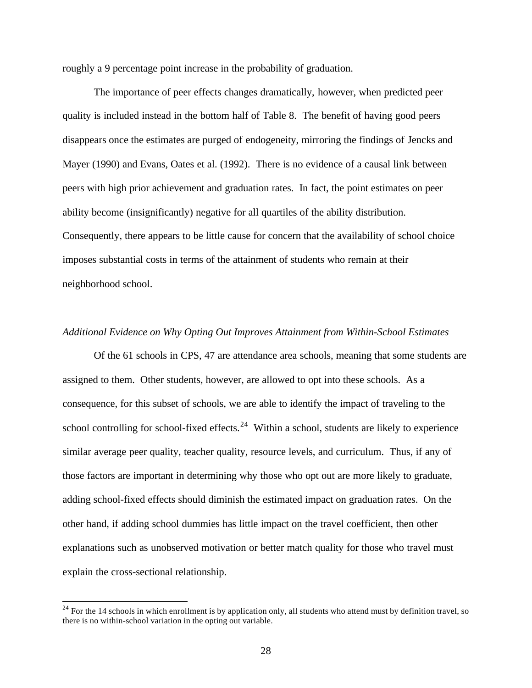roughly a 9 percentage point increase in the probability of graduation.

The importance of peer effects changes dramatically, however, when predicted peer quality is included instead in the bottom half of Table 8. The benefit of having good peers disappears once the estimates are purged of endogeneity, mirroring the findings of Jencks and Mayer (1990) and Evans, Oates et al. (1992). There is no evidence of a causal link between peers with high prior achievement and graduation rates. In fact, the point estimates on peer ability become (insignificantly) negative for all quartiles of the ability distribution. Consequently, there appears to be little cause for concern that the availability of school choice imposes substantial costs in terms of the attainment of students who remain at their neighborhood school.

## *Additional Evidence on Why Opting Out Improves Attainment from Within-School Estimates*

Of the 61 schools in CPS, 47 are attendance area schools, meaning that some students are assigned to them. Other students, however, are allowed to opt into these schools. As a consequence, for this subset of schools, we are able to identify the impact of traveling to the school controlling for school-fixed effects.<sup>24</sup> Within a school, students are likely to experience similar average peer quality, teacher quality, resource levels, and curriculum. Thus, if any of those factors are important in determining why those who opt out are more likely to graduate, adding school-fixed effects should diminish the estimated impact on graduation rates. On the other hand, if adding school dummies has little impact on the travel coefficient, then other explanations such as unobserved motivation or better match quality for those who travel must explain the cross-sectional relationship.

 $24$  For the 14 schools in which enrollment is by application only, all students who attend must by definition travel, so there is no within-school variation in the opting out variable.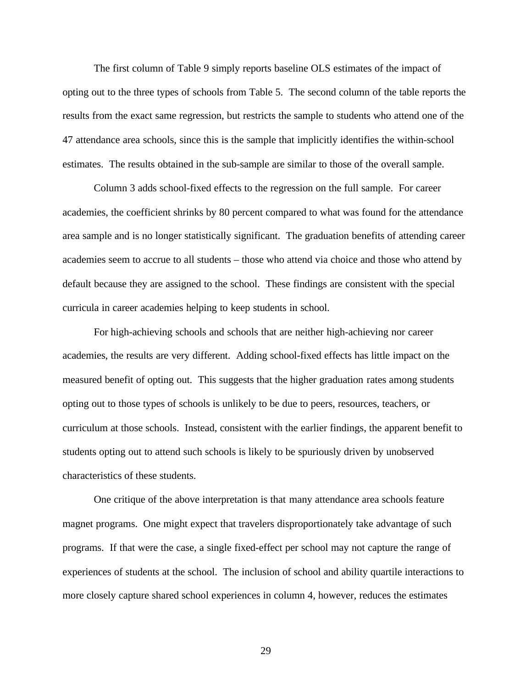The first column of Table 9 simply reports baseline OLS estimates of the impact of opting out to the three types of schools from Table 5. The second column of the table reports the results from the exact same regression, but restricts the sample to students who attend one of the 47 attendance area schools, since this is the sample that implicitly identifies the within-school estimates. The results obtained in the sub-sample are similar to those of the overall sample.

Column 3 adds school-fixed effects to the regression on the full sample. For career academies, the coefficient shrinks by 80 percent compared to what was found for the attendance area sample and is no longer statistically significant. The graduation benefits of attending career academies seem to accrue to all students – those who attend via choice and those who attend by default because they are assigned to the school. These findings are consistent with the special curricula in career academies helping to keep students in school.

For high-achieving schools and schools that are neither high-achieving nor career academies, the results are very different. Adding school-fixed effects has little impact on the measured benefit of opting out. This suggests that the higher graduation rates among students opting out to those types of schools is unlikely to be due to peers, resources, teachers, or curriculum at those schools. Instead, consistent with the earlier findings, the apparent benefit to students opting out to attend such schools is likely to be spuriously driven by unobserved characteristics of these students.

One critique of the above interpretation is that many attendance area schools feature magnet programs. One might expect that travelers disproportionately take advantage of such programs. If that were the case, a single fixed-effect per school may not capture the range of experiences of students at the school. The inclusion of school and ability quartile interactions to more closely capture shared school experiences in column 4, however, reduces the estimates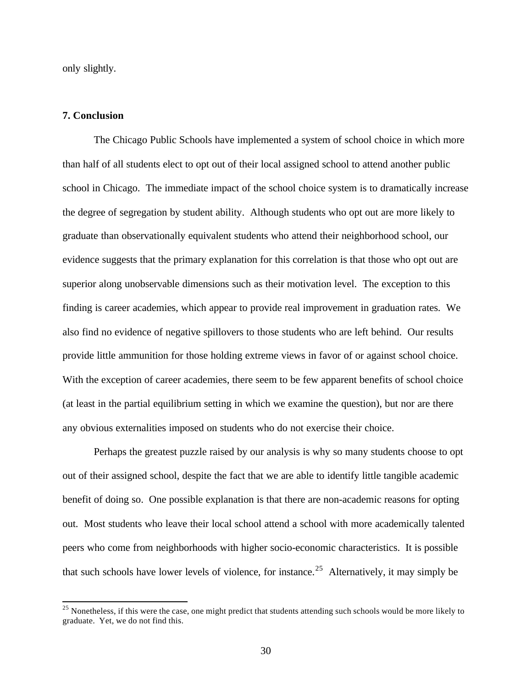only slightly.

## **7. Conclusion**

l

The Chicago Public Schools have implemented a system of school choice in which more than half of all students elect to opt out of their local assigned school to attend another public school in Chicago. The immediate impact of the school choice system is to dramatically increase the degree of segregation by student ability. Although students who opt out are more likely to graduate than observationally equivalent students who attend their neighborhood school, our evidence suggests that the primary explanation for this correlation is that those who opt out are superior along unobservable dimensions such as their motivation level. The exception to this finding is career academies, which appear to provide real improvement in graduation rates. We also find no evidence of negative spillovers to those students who are left behind. Our results provide little ammunition for those holding extreme views in favor of or against school choice. With the exception of career academies, there seem to be few apparent benefits of school choice (at least in the partial equilibrium setting in which we examine the question), but nor are there any obvious externalities imposed on students who do not exercise their choice.

Perhaps the greatest puzzle raised by our analysis is why so many students choose to opt out of their assigned school, despite the fact that we are able to identify little tangible academic benefit of doing so. One possible explanation is that there are non-academic reasons for opting out. Most students who leave their local school attend a school with more academically talented peers who come from neighborhoods with higher socio-economic characteristics. It is possible that such schools have lower levels of violence, for instance.<sup>25</sup> Alternatively, it may simply be

 $25$  Nonetheless, if this were the case, one might predict that students attending such schools would be more likely to graduate. Yet, we do not find this.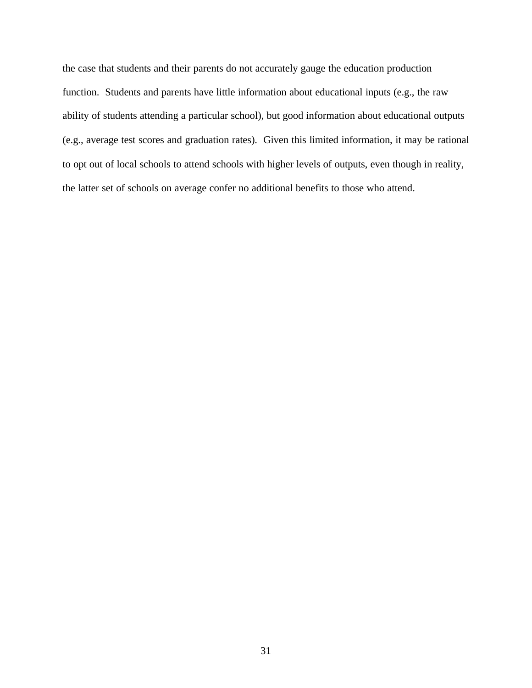the case that students and their parents do not accurately gauge the education production function. Students and parents have little information about educational inputs (e.g., the raw ability of students attending a particular school), but good information about educational outputs (e.g., average test scores and graduation rates). Given this limited information, it may be rational to opt out of local schools to attend schools with higher levels of outputs, even though in reality, the latter set of schools on average confer no additional benefits to those who attend.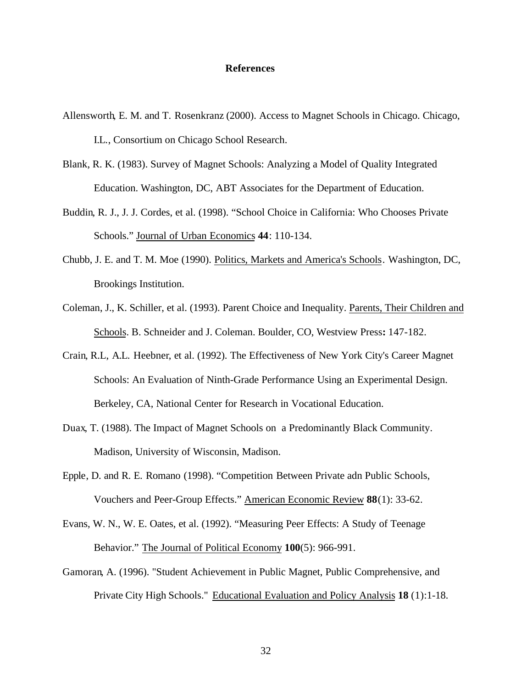#### **References**

- Allensworth, E. M. and T. Rosenkranz (2000). Access to Magnet Schools in Chicago. Chicago, I.L., Consortium on Chicago School Research.
- Blank, R. K. (1983). Survey of Magnet Schools: Analyzing a Model of Quality Integrated Education. Washington, DC, ABT Associates for the Department of Education.
- Buddin, R. J., J. J. Cordes, et al. (1998). "School Choice in California: Who Chooses Private Schools." Journal of Urban Economics **44**: 110-134.
- Chubb, J. E. and T. M. Moe (1990). Politics, Markets and America's Schools. Washington, DC, Brookings Institution.
- Coleman, J., K. Schiller, et al. (1993). Parent Choice and Inequality. Parents, Their Children and Schools. B. Schneider and J. Coleman. Boulder, CO, Westview Press**:** 147-182.
- Crain, R.L, A.L. Heebner, et al. (1992). The Effectiveness of New York City's Career Magnet Schools: An Evaluation of Ninth-Grade Performance Using an Experimental Design. Berkeley, CA, National Center for Research in Vocational Education.
- Duax, T. (1988). The Impact of Magnet Schools on a Predominantly Black Community. Madison, University of Wisconsin, Madison.
- Epple, D. and R. E. Romano (1998). "Competition Between Private adn Public Schools, Vouchers and Peer-Group Effects." American Economic Review **88**(1): 33-62.
- Evans, W. N., W. E. Oates, et al. (1992). "Measuring Peer Effects: A Study of Teenage Behavior." The Journal of Political Economy **100**(5): 966-991.
- Gamoran, A. (1996). "Student Achievement in Public Magnet, Public Comprehensive, and Private City High Schools." Educational Evaluation and Policy Analysis **18** (1):1-18.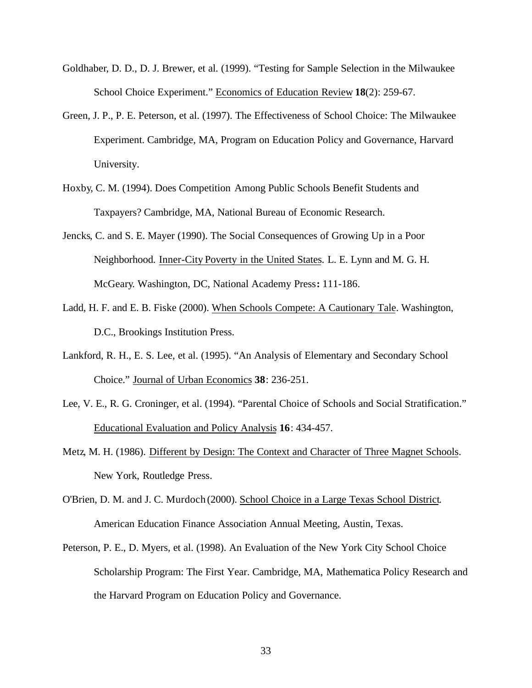- Goldhaber, D. D., D. J. Brewer, et al. (1999). "Testing for Sample Selection in the Milwaukee School Choice Experiment." Economics of Education Review **18**(2): 259-67.
- Green, J. P., P. E. Peterson, et al. (1997). The Effectiveness of School Choice: The Milwaukee Experiment. Cambridge, MA, Program on Education Policy and Governance, Harvard University.
- Hoxby, C. M. (1994). Does Competition Among Public Schools Benefit Students and Taxpayers? Cambridge, MA, National Bureau of Economic Research.
- Jencks, C. and S. E. Mayer (1990). The Social Consequences of Growing Up in a Poor Neighborhood. Inner-City Poverty in the United States. L. E. Lynn and M. G. H. McGeary. Washington, DC, National Academy Press**:** 111-186.
- Ladd, H. F. and E. B. Fiske (2000). When Schools Compete: A Cautionary Tale. Washington, D.C., Brookings Institution Press.
- Lankford, R. H., E. S. Lee, et al. (1995). "An Analysis of Elementary and Secondary School Choice." Journal of Urban Economics **38**: 236-251.
- Lee, V. E., R. G. Croninger, et al. (1994). "Parental Choice of Schools and Social Stratification." Educational Evaluation and Policy Analysis **16**: 434-457.
- Metz, M. H. (1986). Different by Design: The Context and Character of Three Magnet Schools. New York, Routledge Press.
- O'Brien, D. M. and J. C. Murdoch (2000). School Choice in a Large Texas School District. American Education Finance Association Annual Meeting, Austin, Texas.
- Peterson, P. E., D. Myers, et al. (1998). An Evaluation of the New York City School Choice Scholarship Program: The First Year. Cambridge, MA, Mathematica Policy Research and the Harvard Program on Education Policy and Governance.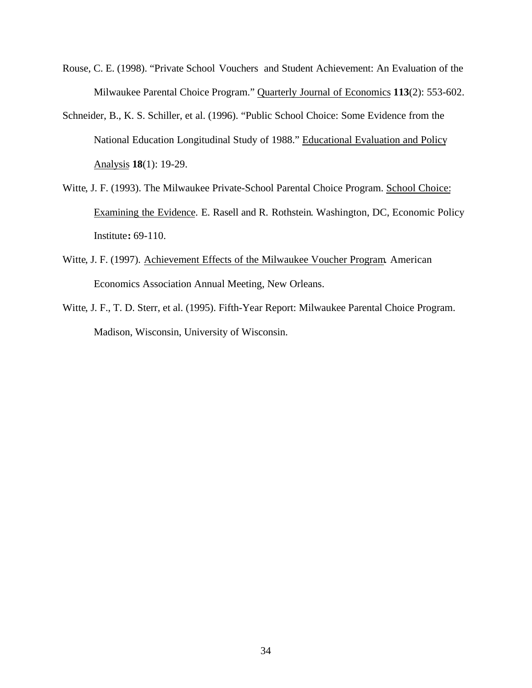- Rouse, C. E. (1998). "Private School Vouchers and Student Achievement: An Evaluation of the Milwaukee Parental Choice Program." Quarterly Journal of Economics **113**(2): 553-602.
- Schneider, B., K. S. Schiller, et al. (1996). "Public School Choice: Some Evidence from the National Education Longitudinal Study of 1988." Educational Evaluation and Policy Analysis **18**(1): 19-29.
- Witte, J. F. (1993). The Milwaukee Private-School Parental Choice Program. School Choice: Examining the Evidence. E. Rasell and R. Rothstein. Washington, DC, Economic Policy Institute**:** 69-110.
- Witte, J. F. (1997). Achievement Effects of the Milwaukee Voucher Program. American Economics Association Annual Meeting, New Orleans.
- Witte, J. F., T. D. Sterr, et al. (1995). Fifth-Year Report: Milwaukee Parental Choice Program. Madison, Wisconsin, University of Wisconsin.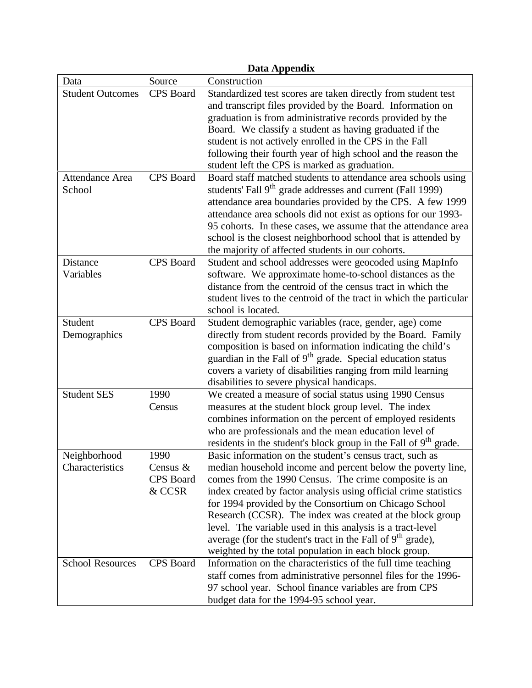|                                  |                                                   | Data Appendix                                                                                                                                                                                                                                                                                                                                                                                                                                                                                                                                                                |
|----------------------------------|---------------------------------------------------|------------------------------------------------------------------------------------------------------------------------------------------------------------------------------------------------------------------------------------------------------------------------------------------------------------------------------------------------------------------------------------------------------------------------------------------------------------------------------------------------------------------------------------------------------------------------------|
| Data                             | Source                                            | Construction                                                                                                                                                                                                                                                                                                                                                                                                                                                                                                                                                                 |
| <b>Student Outcomes</b>          | CPS Board                                         | Standardized test scores are taken directly from student test<br>and transcript files provided by the Board. Information on<br>graduation is from administrative records provided by the<br>Board. We classify a student as having graduated if the<br>student is not actively enrolled in the CPS in the Fall<br>following their fourth year of high school and the reason the<br>student left the CPS is marked as graduation.                                                                                                                                             |
| <b>Attendance Area</b><br>School | <b>CPS</b> Board                                  | Board staff matched students to attendance area schools using<br>students' Fall 9 <sup>th</sup> grade addresses and current (Fall 1999)<br>attendance area boundaries provided by the CPS. A few 1999<br>attendance area schools did not exist as options for our 1993-<br>95 cohorts. In these cases, we assume that the attendance area<br>school is the closest neighborhood school that is attended by<br>the majority of affected students in our cohorts.                                                                                                              |
| Distance<br>Variables            | <b>CPS</b> Board                                  | Student and school addresses were geocoded using MapInfo<br>software. We approximate home-to-school distances as the<br>distance from the centroid of the census tract in which the<br>student lives to the centroid of the tract in which the particular<br>school is located.                                                                                                                                                                                                                                                                                              |
| Student<br>Demographics          | CPS Board                                         | Student demographic variables (race, gender, age) come<br>directly from student records provided by the Board. Family<br>composition is based on information indicating the child's<br>guardian in the Fall of 9 <sup>th</sup> grade. Special education status<br>covers a variety of disabilities ranging from mild learning<br>disabilities to severe physical handicaps.                                                                                                                                                                                                  |
| <b>Student SES</b>               | 1990<br>Census                                    | We created a measure of social status using 1990 Census<br>measures at the student block group level. The index<br>combines information on the percent of employed residents<br>who are professionals and the mean education level of<br>residents in the student's block group in the Fall of 9 <sup>th</sup> grade.                                                                                                                                                                                                                                                        |
| Neighborhood<br>Characteristics  | 1990<br>Census $\&$<br><b>CPS</b> Board<br>& CCSR | Basic information on the student's census tract, such as<br>median household income and percent below the poverty line,<br>comes from the 1990 Census. The crime composite is an<br>index created by factor analysis using official crime statistics<br>for 1994 provided by the Consortium on Chicago School<br>Research (CCSR). The index was created at the block group<br>level. The variable used in this analysis is a tract-level<br>average (for the student's tract in the Fall of 9 <sup>th</sup> grade),<br>weighted by the total population in each block group. |
| <b>School Resources</b>          | <b>CPS</b> Board                                  | Information on the characteristics of the full time teaching<br>staff comes from administrative personnel files for the 1996-<br>97 school year. School finance variables are from CPS<br>budget data for the 1994-95 school year.                                                                                                                                                                                                                                                                                                                                           |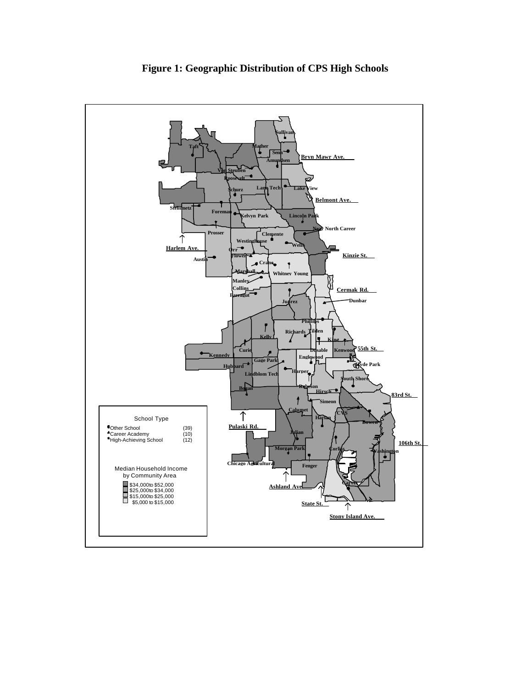

**Figure 1: Geographic Distribution of CPS High Schools**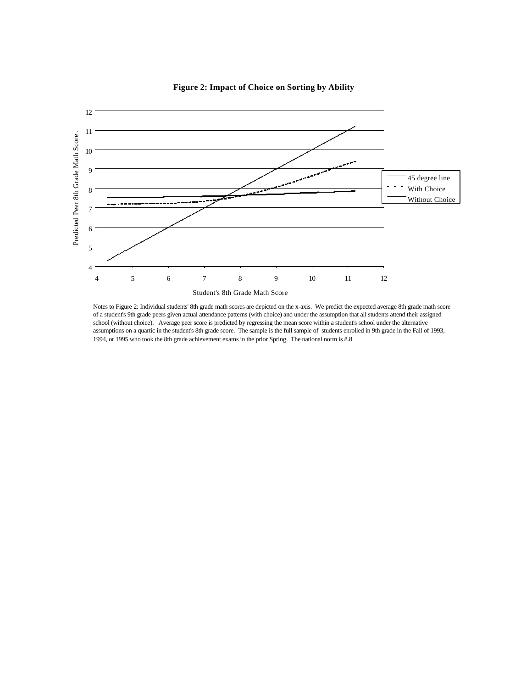

**Figure 2: Impact of Choice on Sorting by Ability**

Notes to Figure 2: Individual students' 8th grade math scores are depicted on the x-axis. We predict the expected average 8th grade math score of a student's 9th grade peers given actual attendance patterns (with choice) and under the assumption that all students attend their assigned school (without choice). Average peer score is predicted by regressing the mean score within a student's school under the alternative assumptions on a quartic in the student's 8th grade score. The sample is the full sample of students enrolled in 9th grade in the Fall of 1993, 1994, or 1995 who took the 8th grade achievement exams in the prior Spring. The national norm is 8.8.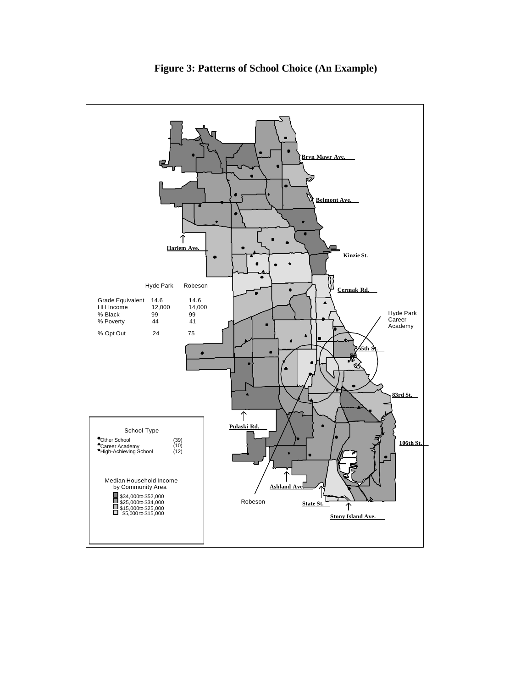

**Figure 3: Patterns of School Choice (An Example)**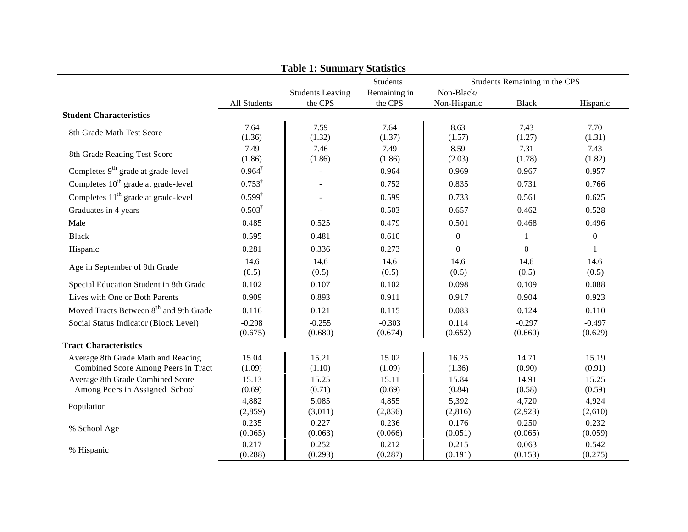|                                                                           |                     | <b>Table 1: Summary Statistics</b> |                         |                            |                               |                     |
|---------------------------------------------------------------------------|---------------------|------------------------------------|-------------------------|----------------------------|-------------------------------|---------------------|
|                                                                           |                     |                                    | <b>Students</b>         |                            | Students Remaining in the CPS |                     |
|                                                                           | All Students        | <b>Students Leaving</b><br>the CPS | Remaining in<br>the CPS | Non-Black/<br>Non-Hispanic | <b>Black</b>                  | Hispanic            |
| <b>Student Characteristics</b>                                            |                     |                                    |                         |                            |                               |                     |
| 8th Grade Math Test Score                                                 | 7.64<br>(1.36)      | 7.59<br>(1.32)                     | 7.64<br>(1.37)          | 8.63<br>(1.57)             | 7.43<br>(1.27)                | 7.70<br>(1.31)      |
| 8th Grade Reading Test Score                                              | 7.49<br>(1.86)      | 7.46<br>(1.86)                     | 7.49<br>(1.86)          | 8.59<br>(2.03)             | 7.31<br>(1.78)                | 7.43<br>(1.82)      |
| Completes 9 <sup>th</sup> grade at grade-level                            | $0.964^{\dagger}$   | $\overline{\phantom{a}}$           | 0.964                   | 0.969                      | 0.967                         | 0.957               |
| Completes 10 <sup>th</sup> grade at grade-level                           | $0.753^{\dagger}$   | $\sim$                             | 0.752                   | 0.835                      | 0.731                         | 0.766               |
| Completes 11 <sup>th</sup> grade at grade-level                           | $0.599^{\dagger}$   |                                    | 0.599                   | 0.733                      | 0.561                         | 0.625               |
| Graduates in 4 years                                                      | $0.503^{\dagger}$   |                                    | 0.503                   | 0.657                      | 0.462                         | 0.528               |
| Male                                                                      | 0.485               | 0.525                              | 0.479                   | 0.501                      | 0.468                         | 0.496               |
| <b>Black</b>                                                              | 0.595               | 0.481                              | 0.610                   | $\boldsymbol{0}$           | 1                             | $\boldsymbol{0}$    |
| Hispanic                                                                  | 0.281               | 0.336                              | 0.273                   | $\boldsymbol{0}$           | $\mathbf{0}$                  | 1                   |
| Age in September of 9th Grade                                             | 14.6<br>(0.5)       | 14.6<br>(0.5)                      | 14.6<br>(0.5)           | 14.6<br>(0.5)              | 14.6<br>(0.5)                 | 14.6<br>(0.5)       |
| Special Education Student in 8th Grade                                    | 0.102               | 0.107                              | 0.102                   | 0.098                      | 0.109                         | 0.088               |
| Lives with One or Both Parents                                            | 0.909               | 0.893                              | 0.911                   | 0.917                      | 0.904                         | 0.923               |
| Moved Tracts Between 8 <sup>th</sup> and 9th Grade                        | 0.116               | 0.121                              | 0.115                   | 0.083                      | 0.124                         | 0.110               |
| Social Status Indicator (Block Level)                                     | $-0.298$<br>(0.675) | $-0.255$<br>(0.680)                | $-0.303$<br>(0.674)     | 0.114<br>(0.652)           | $-0.297$<br>(0.660)           | $-0.497$<br>(0.629) |
| <b>Tract Characteristics</b>                                              |                     |                                    |                         |                            |                               |                     |
| Average 8th Grade Math and Reading<br>Combined Score Among Peers in Tract | 15.04<br>(1.09)     | 15.21<br>(1.10)                    | 15.02<br>(1.09)         | 16.25<br>(1.36)            | 14.71<br>(0.90)               | 15.19<br>(0.91)     |
| Average 8th Grade Combined Score<br>Among Peers in Assigned School        | 15.13<br>(0.69)     | 15.25<br>(0.71)                    | 15.11<br>(0.69)         | 15.84<br>(0.84)            | 14.91<br>(0.58)               | 15.25<br>(0.59)     |
| Population                                                                | 4,882<br>(2,859)    | 5,085<br>(3,011)                   | 4,855<br>(2,836)        | 5,392<br>(2, 816)          | 4,720<br>(2,923)              | 4,924<br>(2,610)    |
| % School Age                                                              | 0.235<br>(0.065)    | 0.227<br>(0.063)                   | 0.236<br>(0.066)        | 0.176<br>(0.051)           | 0.250<br>(0.065)              | 0.232<br>(0.059)    |
| % Hispanic                                                                | 0.217<br>(0.288)    | 0.252<br>(0.293)                   | 0.212<br>(0.287)        | 0.215<br>(0.191)           | 0.063<br>(0.153)              | 0.542<br>(0.275)    |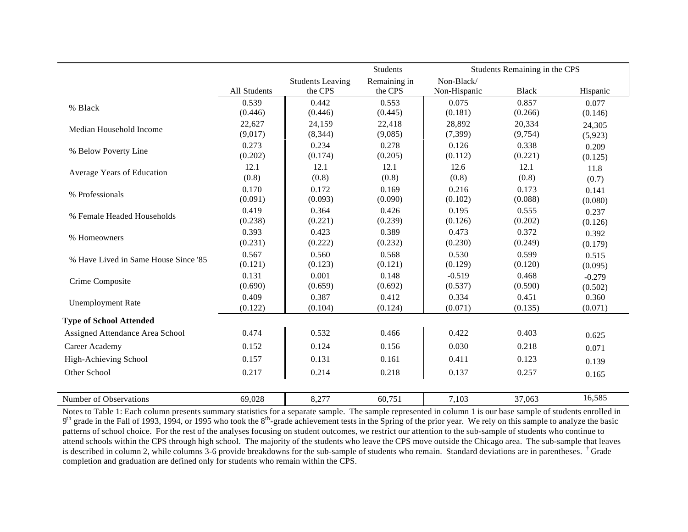|                                      |                  |                         | Students         | Students Remaining in the CPS |                  |                  |
|--------------------------------------|------------------|-------------------------|------------------|-------------------------------|------------------|------------------|
|                                      |                  | <b>Students Leaving</b> | Remaining in     | Non-Black/                    |                  |                  |
|                                      | All Students     | the CPS                 | the CPS          | Non-Hispanic                  | <b>Black</b>     | Hispanic         |
| % Black                              | 0.539            | 0.442                   | 0.553            | 0.075                         | 0.857            | 0.077            |
|                                      | (0.446)          | (0.446)                 | (0.445)          | (0.181)                       | (0.266)          | (0.146)          |
| Median Household Income              | 22,627           | 24,159                  | 22,418           | 28,892                        | 20,334           | 24,305           |
|                                      | (9,017)          | (8, 344)                | (9,085)          | (7, 399)                      | (9, 754)         | (5,923)          |
| % Below Poverty Line                 | 0.273            | 0.234                   | 0.278            | 0.126                         | 0.338            | 0.209            |
|                                      | (0.202)          | (0.174)                 | (0.205)          | (0.112)                       | (0.221)          | (0.125)          |
| Average Years of Education           | 12.1             | 12.1                    | 12.1             | 12.6                          | 12.1             | 11.8             |
|                                      | (0.8)            | (0.8)                   | (0.8)            | (0.8)                         | (0.8)            | (0.7)            |
| % Professionals                      | 0.170            | 0.172                   | 0.169            | 0.216                         | 0.173            | 0.141            |
|                                      | (0.091)          | (0.093)                 | (0.090)          | (0.102)                       | (0.088)          | (0.080)          |
| % Female Headed Households           | 0.419            | 0.364                   | 0.426            | 0.195                         | 0.555            | 0.237            |
|                                      | (0.238)          | (0.221)                 | (0.239)          | (0.126)                       | (0.202)          | (0.126)          |
| % Homeowners                         | 0.393            | 0.423                   | 0.389            | 0.473                         | 0.372            | 0.392            |
|                                      | (0.231)          | (0.222)                 | (0.232)          | (0.230)                       | (0.249)          | (0.179)          |
| % Have Lived in Same House Since '85 | 0.567<br>(0.121) | 0.560<br>(0.123)        | 0.568<br>(0.121) | 0.530<br>(0.129)              | 0.599<br>(0.120) | 0.515            |
|                                      | 0.131            | 0.001                   | 0.148            | $-0.519$                      | 0.468            | (0.095)          |
| Crime Composite                      | (0.690)          | (0.659)                 | (0.692)          | (0.537)                       | (0.590)          | $-0.279$         |
|                                      | 0.409            | 0.387                   | 0.412            | 0.334                         | 0.451            | (0.502)<br>0.360 |
| <b>Unemployment Rate</b>             | (0.122)          | (0.104)                 | (0.124)          | (0.071)                       | (0.135)          | (0.071)          |
| <b>Type of School Attended</b>       |                  |                         |                  |                               |                  |                  |
| Assigned Attendance Area School      | 0.474            | 0.532                   | 0.466            | 0.422                         | 0.403            | 0.625            |
| Career Academy                       | 0.152            | 0.124                   | 0.156            | 0.030                         | 0.218            | 0.071            |
| High-Achieving School                | 0.157            | 0.131                   | 0.161            | 0.411                         | 0.123            | 0.139            |
| Other School                         | 0.217            | 0.214                   | 0.218            | 0.137                         | 0.257            | 0.165            |
| Number of Observations               | 69,028           | 8,277                   | 60,751           | 7,103                         | 37,063           | 16,585           |

Notes to Table 1: Each column presents summary statistics for a separate sample. The sample represented in column 1 is our base sample of students enrolled in 9<sup>th</sup> grade in the Fall of 1993, 1994, or 1995 who took the 8<sup>th</sup>-grade achievement tests in the Spring of the prior year. We rely on this sample to analyze the basic patterns of school choice. For the rest of the analyses focusing on student outcomes, we restrict our attention to the sub-sample of students who continue to attend schools within the CPS through high school. The majority of the students who leave the CPS move outside the Chicago area. The sub-sample that leaves is described in column 2, while columns 3-6 provide breakdowns for the sub-sample of students who remain. Standard deviations are in parentheses. <sup>†</sup> Grade completion and graduation are defined only for students who remain within the CPS.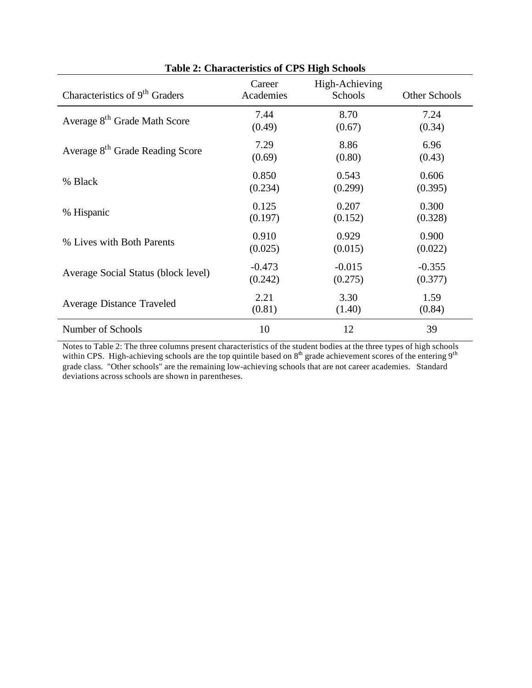|                                             | Table 2. Characteristics of Cr D Thigh Denotis |                           |               |
|---------------------------------------------|------------------------------------------------|---------------------------|---------------|
| Characteristics of 9 <sup>th</sup> Graders  | Career<br>Academies                            | High-Achieving<br>Schools | Other Schools |
| Average 8 <sup>th</sup> Grade Math Score    | 7.44                                           | 8.70                      | 7.24          |
|                                             | (0.49)                                         | (0.67)                    | (0.34)        |
| Average 8 <sup>th</sup> Grade Reading Score | 7.29                                           | 8.86                      | 6.96          |
|                                             | (0.69)                                         | (0.80)                    | (0.43)        |
| % Black                                     | 0.850                                          | 0.543                     | 0.606         |
|                                             | (0.234)                                        | (0.299)                   | (0.395)       |
| % Hispanic                                  | 0.125                                          | 0.207                     | 0.300         |
|                                             | (0.197)                                        | (0.152)                   | (0.328)       |
| % Lives with Both Parents                   | 0.910                                          | 0.929                     | 0.900         |
|                                             | (0.025)                                        | (0.015)                   | (0.022)       |
| Average Social Status (block level)         | $-0.473$                                       | $-0.015$                  | $-0.355$      |
|                                             | (0.242)                                        | (0.275)                   | (0.377)       |
| <b>Average Distance Traveled</b>            | 2.21                                           | 3.30                      | 1.59          |
|                                             | (0.81)                                         | (1.40)                    | (0.84)        |
| Number of Schools                           | 10                                             | 12                        | 39            |

**Table 2: Characteristics of CPS High Schools**

Notes to Table 2: The three columns present characteristics of the student bodies at the three types of high schools within CPS. High-achieving schools are the top quintile based on  $8<sup>th</sup>$  grade achievement scores of the entering  $9<sup>th</sup>$ grade class. "Other schools" are the remaining low-achieving schools that are not career academies. Standard deviations across schools are shown in parentheses.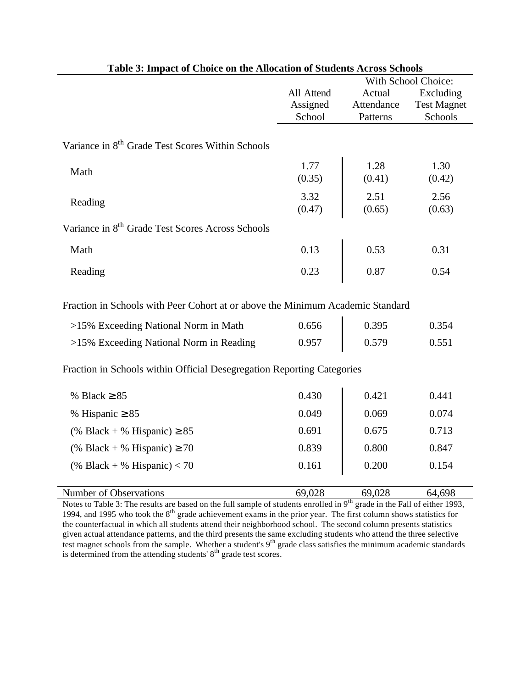| radio of impact or choice on the mnocation or buddents reross behoors                                                                                                                                                                                                                                                                        | With School Choice: |                |                    |  |  |
|----------------------------------------------------------------------------------------------------------------------------------------------------------------------------------------------------------------------------------------------------------------------------------------------------------------------------------------------|---------------------|----------------|--------------------|--|--|
|                                                                                                                                                                                                                                                                                                                                              | All Attend          | Actual         | Excluding          |  |  |
|                                                                                                                                                                                                                                                                                                                                              | Assigned            | Attendance     | <b>Test Magnet</b> |  |  |
|                                                                                                                                                                                                                                                                                                                                              | School              | Patterns       | Schools            |  |  |
| Variance in 8 <sup>th</sup> Grade Test Scores Within Schools                                                                                                                                                                                                                                                                                 |                     |                |                    |  |  |
| Math                                                                                                                                                                                                                                                                                                                                         | 1.77<br>(0.35)      | 1.28<br>(0.41) | 1.30<br>(0.42)     |  |  |
| Reading                                                                                                                                                                                                                                                                                                                                      | 3.32<br>(0.47)      | 2.51<br>(0.65) | 2.56<br>(0.63)     |  |  |
| Variance in 8 <sup>th</sup> Grade Test Scores Across Schools                                                                                                                                                                                                                                                                                 |                     |                |                    |  |  |
| Math                                                                                                                                                                                                                                                                                                                                         | 0.13                | 0.53           | 0.31               |  |  |
| Reading                                                                                                                                                                                                                                                                                                                                      | 0.23                | 0.87           | 0.54               |  |  |
| Fraction in Schools with Peer Cohort at or above the Minimum Academic Standard                                                                                                                                                                                                                                                               |                     |                |                    |  |  |
| >15% Exceeding National Norm in Math                                                                                                                                                                                                                                                                                                         | 0.656               | 0.395          | 0.354              |  |  |
| >15% Exceeding National Norm in Reading                                                                                                                                                                                                                                                                                                      | 0.957               | 0.579          | 0.551              |  |  |
| Fraction in Schools within Official Desegregation Reporting Categories                                                                                                                                                                                                                                                                       |                     |                |                    |  |  |
| % Black $\geq 85$                                                                                                                                                                                                                                                                                                                            | 0.430               | 0.421          | 0.441              |  |  |
| % Hispanic $\geq 85$                                                                                                                                                                                                                                                                                                                         | 0.049               | 0.069          | 0.074              |  |  |
| (% Black + % Hispanic) $\geq$ 85                                                                                                                                                                                                                                                                                                             | 0.691               | 0.675          | 0.713              |  |  |
| (% Black + % Hispanic) $\geq 70$                                                                                                                                                                                                                                                                                                             | 0.839               | 0.800          | 0.847              |  |  |
| (% Black + % Hispanic) $<$ 70                                                                                                                                                                                                                                                                                                                | 0.161               | 0.200          | 0.154              |  |  |
| Number of Observations                                                                                                                                                                                                                                                                                                                       | 69,028              | 69,028         | 64,698             |  |  |
| Notes to Table 3: The results are based on the full sample of students enrolled in 9 <sup>th</sup> grade in the Fall of either 1993,<br>$1004 - 11005 - 1$ , $1 \text{d} \text{)}$ $1 \text{d} \text{)}$ $1 \text{d} \text{)}$ $1 \text{d} \text{)}$ $1 \text{d} \text{)}$ $1 \text{d} \text{)}$ $1 \text{d} \text{)}$ $1 \text{d} \text{)}$ |                     |                |                    |  |  |

**Table 3: Impact of Choice on the Allocation of Students Across Schools**

1994, and 1995 who took the 8<sup>th</sup> grade achievement exams in the prior year. The first column shows statistics for the counterfactual in which all students attend their neighborhood school. The second column presents statistics given actual attendance patterns, and the third presents the same excluding students who attend the three selective test magnet schools from the sample. Whether a student's 9<sup>th</sup> grade class satisfies the minimum academic standards is determined from the attending students'  $8<sup>th</sup>$  grade test scores.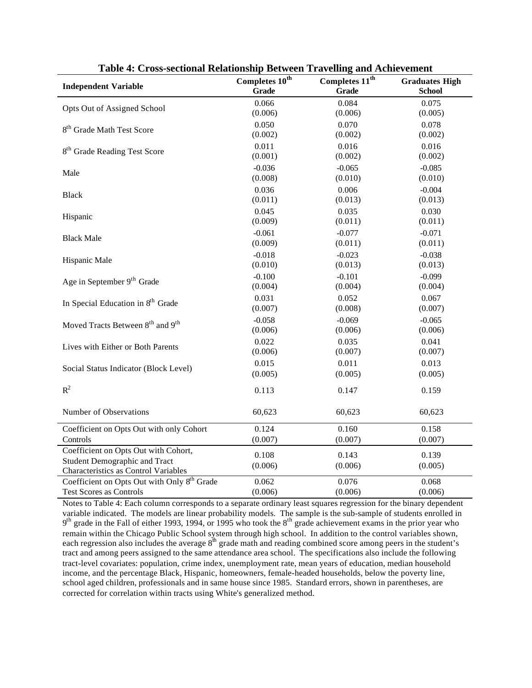| <b>Independent Variable</b>                              | Completes $10^{th}$<br><b>Grade</b> | Completes 11 <sup>th</sup><br><b>Grade</b> | <b>Graduates High</b><br><b>School</b> |
|----------------------------------------------------------|-------------------------------------|--------------------------------------------|----------------------------------------|
|                                                          | 0.066                               | 0.084                                      | 0.075                                  |
| Opts Out of Assigned School                              | (0.006)                             | (0.006)                                    | (0.005)                                |
| 8 <sup>th</sup> Grade Math Test Score                    | 0.050                               | 0.070                                      | 0.078                                  |
|                                                          | (0.002)                             | (0.002)                                    | (0.002)                                |
| 8 <sup>th</sup> Grade Reading Test Score                 | 0.011                               | 0.016                                      | 0.016                                  |
|                                                          | (0.001)                             | (0.002)                                    | (0.002)                                |
| Male                                                     | $-0.036$                            | $-0.065$                                   | $-0.085$                               |
|                                                          | (0.008)                             | (0.010)                                    | (0.010)                                |
| <b>Black</b>                                             | 0.036                               | 0.006                                      | $-0.004$                               |
|                                                          | (0.011)                             | (0.013)                                    | (0.013)                                |
|                                                          | 0.045                               | 0.035                                      | 0.030                                  |
| Hispanic                                                 | (0.009)                             | (0.011)                                    | (0.011)                                |
|                                                          | $-0.061$                            | $-0.077$                                   | $-0.071$                               |
| <b>Black Male</b>                                        | (0.009)                             | (0.011)                                    | (0.011)                                |
|                                                          | $-0.018$                            | $-0.023$                                   | $-0.038$                               |
| Hispanic Male                                            | (0.010)                             | (0.013)                                    | (0.013)                                |
| Age in September 9 <sup>th</sup> Grade                   | $-0.100$                            | $-0.101$                                   | $-0.099$                               |
|                                                          | (0.004)                             | (0.004)                                    | (0.004)                                |
| In Special Education in 8 <sup>th</sup> Grade            | 0.031                               | 0.052                                      | 0.067                                  |
|                                                          | (0.007)                             | (0.008)                                    | (0.007)                                |
| Moved Tracts Between 8 <sup>th</sup> and 9 <sup>th</sup> | $-0.058$                            | $-0.069$                                   | $-0.065$                               |
|                                                          | (0.006)                             | (0.006)                                    | (0.006)                                |
|                                                          | 0.022                               | 0.035                                      | 0.041                                  |
| Lives with Either or Both Parents                        | (0.006)                             | (0.007)                                    | (0.007)                                |
| Social Status Indicator (Block Level)                    | 0.015                               | 0.011                                      | 0.013                                  |
|                                                          | (0.005)                             | (0.005)                                    | (0.005)                                |
| $R^2$                                                    | 0.113                               | 0.147                                      | 0.159                                  |
| Number of Observations                                   | 60,623                              | 60,623                                     | 60,623                                 |
| Coefficient on Opts Out with only Cohort                 | 0.124                               | 0.160                                      | 0.158                                  |
| Controls                                                 | (0.007)                             | (0.007)                                    | (0.007)                                |
| Coefficient on Opts Out with Cohort,                     | 0.108                               | 0.143                                      | 0.139                                  |
| <b>Student Demographic and Tract</b>                     | (0.006)                             | (0.006)                                    | (0.005)                                |
| Characteristics as Control Variables                     |                                     |                                            |                                        |
| Coefficient on Opts Out with Only 8 <sup>th</sup> Grade  | 0.062                               | 0.076                                      | 0.068                                  |
| <b>Test Scores as Controls</b>                           | (0.006)                             | (0.006)                                    | (0.006)                                |

**Table 4: Cross-sectional Relationship Between Travelling and Achievement**

Notes to Table 4: Each column corresponds to a separate ordinary least squares regression for the binary dependent variable indicated. The models are linear probability models. The sample is the sub-sample of students enrolled in  $9<sup>th</sup>$  grade in the Fall of either 1993, 1994, or 1995 who took the  $8<sup>th</sup>$  grade achievement exams in the prior year who remain within the Chicago Public School system through high school. In addition to the control variables shown, each regression also includes the average  $8<sup>th</sup>$  grade math and reading combined score among peers in the student's tract and among peers assigned to the same attendance area school. The specifications also include the following tract-level covariates: population, crime index, unemployment rate, mean years of education, median household income, and the percentage Black, Hispanic, homeowners, female-headed households, below the poverty line, school aged children, professionals and in same house since 1985. Standard errors, shown in parentheses, are corrected for correlation within tracts using White's generalized method.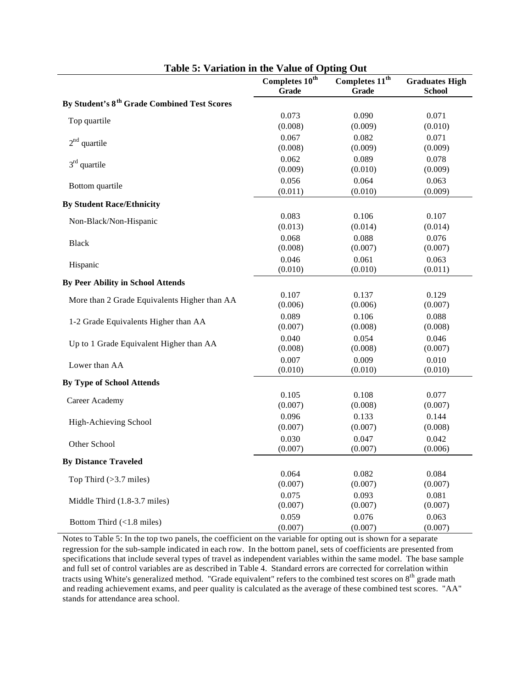|                                                         | Completes 10 <sup>th</sup><br><b>Grade</b> | Completes 11 <sup>th</sup><br><b>Grade</b> | <b>Graduates High</b><br><b>School</b> |
|---------------------------------------------------------|--------------------------------------------|--------------------------------------------|----------------------------------------|
| By Student's 8 <sup>th</sup> Grade Combined Test Scores |                                            |                                            |                                        |
| Top quartile                                            | 0.073                                      | 0.090                                      | 0.071                                  |
|                                                         | (0.008)                                    | (0.009)                                    | (0.010)                                |
| $2nd$ quartile                                          | 0.067                                      | 0.082                                      | 0.071                                  |
|                                                         | (0.008)                                    | (0.009)                                    | (0.009)                                |
| $3rd$ quartile                                          | 0.062                                      | 0.089                                      | 0.078                                  |
|                                                         | (0.009)                                    | (0.010)                                    | (0.009)                                |
| Bottom quartile                                         | 0.056                                      | 0.064                                      | 0.063                                  |
|                                                         | (0.011)                                    | (0.010)                                    | (0.009)                                |
| <b>By Student Race/Ethnicity</b>                        |                                            |                                            |                                        |
| Non-Black/Non-Hispanic                                  | 0.083                                      | 0.106                                      | 0.107                                  |
|                                                         | (0.013)                                    | (0.014)                                    | (0.014)                                |
| <b>Black</b>                                            | 0.068                                      | 0.088                                      | 0.076                                  |
|                                                         | (0.008)                                    | (0.007)                                    | (0.007)                                |
| Hispanic                                                | 0.046                                      | 0.061                                      | 0.063                                  |
|                                                         | (0.010)                                    | (0.010)                                    | (0.011)                                |
| <b>By Peer Ability in School Attends</b>                |                                            |                                            |                                        |
|                                                         | 0.107                                      | 0.137                                      | 0.129                                  |
| More than 2 Grade Equivalents Higher than AA            | (0.006)                                    | (0.006)                                    | (0.007)                                |
| 1-2 Grade Equivalents Higher than AA                    | 0.089                                      | 0.106                                      | 0.088                                  |
|                                                         | (0.007)                                    | (0.008)                                    | (0.008)                                |
| Up to 1 Grade Equivalent Higher than AA                 | 0.040                                      | 0.054                                      | 0.046                                  |
|                                                         | (0.008)                                    | (0.008)                                    | (0.007)                                |
| Lower than AA                                           | 0.007                                      | 0.009                                      | 0.010                                  |
|                                                         | (0.010)                                    | (0.010)                                    | (0.010)                                |
| <b>By Type of School Attends</b>                        |                                            |                                            |                                        |
|                                                         | 0.105                                      | 0.108                                      | 0.077                                  |
| Career Academy                                          | (0.007)                                    | (0.008)                                    | (0.007)                                |
|                                                         | 0.096                                      | 0.133                                      | 0.144                                  |
| High-Achieving School                                   | (0.007)                                    | (0.007)                                    | (0.008)                                |
| Other School                                            | 0.030                                      | 0.047                                      | 0.042                                  |
|                                                         | (0.007)                                    | (0.007)                                    | (0.006)                                |
| <b>By Distance Traveled</b>                             |                                            |                                            |                                        |
|                                                         | 0.064                                      | 0.082                                      | 0.084                                  |
| Top Third $(>3.7$ miles)                                | (0.007)                                    | (0.007)                                    | (0.007)                                |
|                                                         | 0.075                                      | 0.093                                      | 0.081                                  |
| Middle Third (1.8-3.7 miles)                            | (0.007)                                    | (0.007)                                    | (0.007)                                |
|                                                         | 0.059                                      | 0.076                                      | 0.063                                  |
| Bottom Third (<1.8 miles)                               | (0.007)                                    | (0.007)                                    | (0.007)                                |

Notes to Table 5: In the top two panels, the coefficient on the variable for opting out is shown for a separate regression for the sub-sample indicated in each row. In the bottom panel, sets of coefficients are presented from specifications that include several types of travel as independent variables within the same model. The base sample and full set of control variables are as described in Table 4. Standard errors are corrected for correlation within tracts using White's generalized method. "Grade equivalent" refers to the combined test scores on 8<sup>th</sup> grade math and reading achievement exams, and peer quality is calculated as the average of these combined test scores. "AA" stands for attendance area school.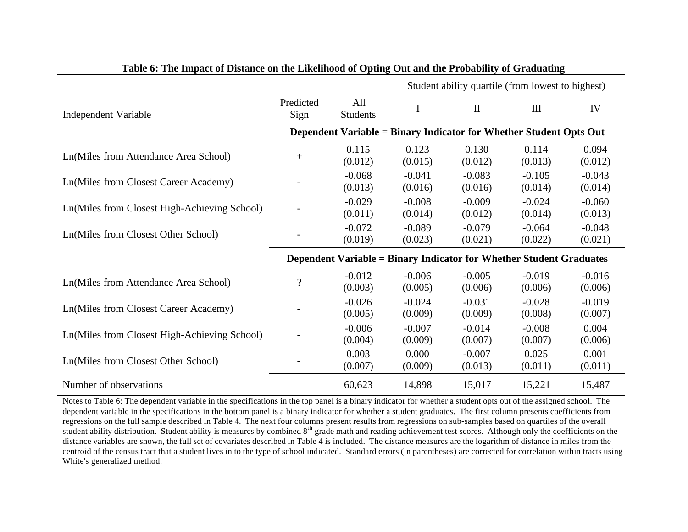|                                              |                          |                                                                            | Student ability quartile (from lowest to highest) |                     |                                  |                     |
|----------------------------------------------|--------------------------|----------------------------------------------------------------------------|---------------------------------------------------|---------------------|----------------------------------|---------------------|
| Independent Variable                         | Predicted<br>Sign        | All<br><b>Students</b>                                                     | I                                                 | $\mathbf{I}$        | $\mathop{\mathrm{III}}\nolimits$ | IV                  |
|                                              |                          | Dependent Variable = Binary Indicator for Whether Student Opts Out         |                                                   |                     |                                  |                     |
| Ln(Miles from Attendance Area School)        | $^{+}$                   | 0.115<br>(0.012)                                                           | 0.123<br>(0.015)                                  | 0.130<br>(0.012)    | 0.114<br>(0.013)                 | 0.094<br>(0.012)    |
| Ln(Miles from Closest Career Academy)        |                          | $-0.068$<br>(0.013)                                                        | $-0.041$<br>(0.016)                               | $-0.083$<br>(0.016) | $-0.105$<br>(0.014)              | $-0.043$<br>(0.014) |
| Ln(Miles from Closest High-Achieving School) |                          | $-0.029$<br>(0.011)                                                        | $-0.008$<br>(0.014)                               | $-0.009$<br>(0.012) | $-0.024$<br>(0.014)              | $-0.060$<br>(0.013) |
| Ln(Miles from Closest Other School)          |                          | $-0.072$<br>(0.019)                                                        | $-0.089$<br>(0.023)                               | $-0.079$<br>(0.021) | $-0.064$<br>(0.022)              | $-0.048$<br>(0.021) |
|                                              |                          | <b>Dependent Variable = Binary Indicator for Whether Student Graduates</b> |                                                   |                     |                                  |                     |
| Ln(Miles from Attendance Area School)        | $\overline{\mathcal{L}}$ | $-0.012$<br>(0.003)                                                        | $-0.006$<br>(0.005)                               | $-0.005$<br>(0.006) | $-0.019$<br>(0.006)              | $-0.016$<br>(0.006) |
| <b>Ln(Miles from Closest Career Academy)</b> |                          | $-0.026$<br>(0.005)                                                        | $-0.024$<br>(0.009)                               | $-0.031$<br>(0.009) | $-0.028$<br>(0.008)              | $-0.019$<br>(0.007) |
| Ln(Miles from Closest High-Achieving School) |                          | $-0.006$<br>(0.004)                                                        | $-0.007$<br>(0.009)                               | $-0.014$<br>(0.007) | $-0.008$<br>(0.007)              | 0.004<br>(0.006)    |
| Ln(Miles from Closest Other School)          |                          | 0.003<br>(0.007)                                                           | 0.000<br>(0.009)                                  | $-0.007$<br>(0.013) | 0.025<br>(0.011)                 | 0.001<br>(0.011)    |
| Number of observations                       |                          | 60,623                                                                     | 14,898                                            | 15,017              | 15,221                           | 15,487              |

**Table 6: The Impact of Distance on the Likelihood of Opting Out and the Probability of Graduating**

Notes to Table 6: The dependent variable in the specifications in the top panel is a binary indicator for whether a student opts out of the assigned school. The dependent variable in the specifications in the bottom panel is a binary indicator for whether a student graduates. The first column presents coefficients from regressions on the full sample described in Table 4. The next four columns present results from regressions on sub-samples based on quartiles of the overall student ability distribution. Student ability is measures by combined 8<sup>th</sup> grade math and reading achievement test scores. Although only the coefficients on the distance variables are shown, the full set of covariates described in Table 4 is included. The distance measures are the logarithm of distance in miles from the centroid of the census tract that a student lives in to the type of school indicated. Standard errors (in parentheses) are corrected for correlation within tracts using White's generalized method.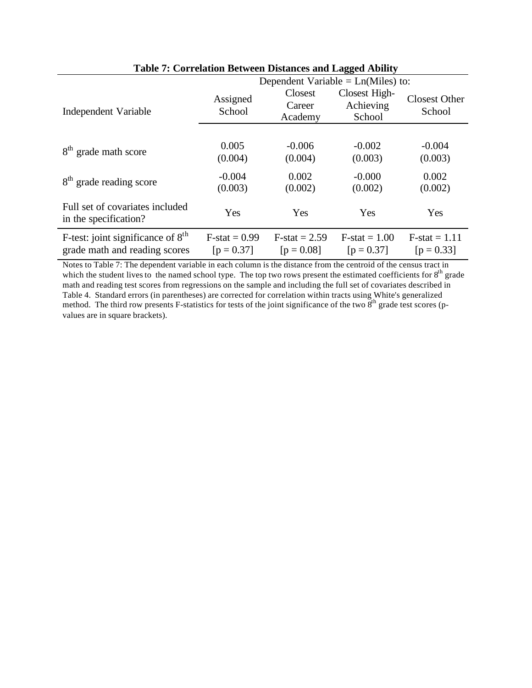|                                                                      | Tuble 11 Correlation Decircul Dibitatelo and Dagged Home, |                                 |                                      |                                 |  |  |
|----------------------------------------------------------------------|-----------------------------------------------------------|---------------------------------|--------------------------------------|---------------------------------|--|--|
|                                                                      | Dependent Variable = $Ln(Miles)$ to:                      |                                 |                                      |                                 |  |  |
| Independent Variable                                                 | Assigned<br>School                                        | Closest<br>Career<br>Academy    | Closest High-<br>Achieving<br>School | <b>Closest Other</b><br>School  |  |  |
|                                                                      |                                                           |                                 |                                      |                                 |  |  |
| 8 <sup>th</sup> grade math score                                     | 0.005<br>(0.004)                                          | $-0.006$<br>(0.004)             | $-0.002$<br>(0.003)                  | $-0.004$<br>(0.003)             |  |  |
| 8 <sup>th</sup> grade reading score                                  | $-0.004$<br>(0.003)                                       | 0.002<br>(0.002)                | $-0.000$<br>(0.002)                  | 0.002<br>(0.002)                |  |  |
| Full set of covariates included<br>in the specification?             | Yes                                                       | Yes                             | Yes                                  | Yes                             |  |  |
| F-test: joint significance of $8th$<br>grade math and reading scores | $F-stat = 0.99$<br>$[p = 0.37]$                           | $F-stat = 2.59$<br>$[p = 0.08]$ | $F-stat = 1.00$<br>$[p = 0.37]$      | $F-stat = 1.11$<br>$[p = 0.33]$ |  |  |

## **Table 7: Correlation Between Distances and Lagged Ability**

Notes to Table 7: The dependent variable in each column is the distance from the centroid of the census tract in which the student lives to the named school type. The top two rows present the estimated coefficients for  $8<sup>th</sup>$  grade math and reading test scores from regressions on the sample and including the full set of covariates described in Table 4. Standard errors (in parentheses) are corrected for correlation within tracts using White's generalized method. The third row presents F-statistics for tests of the joint significance of the two  $8<sup>th</sup>$  grade test scores (pvalues are in square brackets).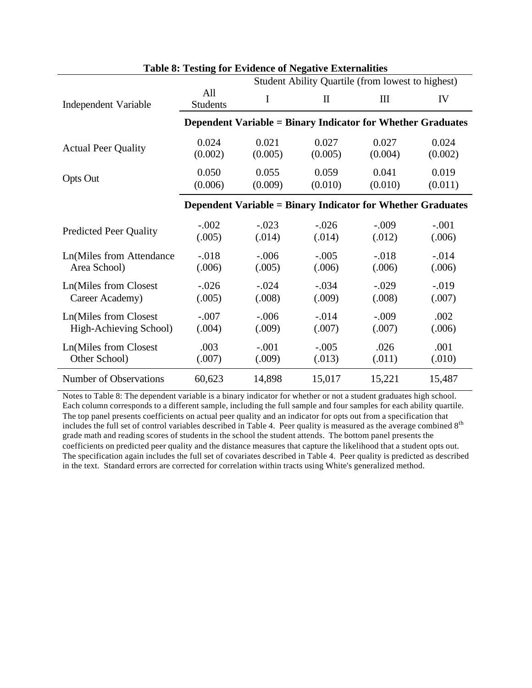|                               | Student Ability Quartile (from lowest to highest) |         |                                                                    |              |         |  |
|-------------------------------|---------------------------------------------------|---------|--------------------------------------------------------------------|--------------|---------|--|
| Independent Variable          | All<br><b>Students</b>                            | I       | $\mathbf{I}$                                                       | $\mathbf{I}$ | IV      |  |
|                               |                                                   |         | <b>Dependent Variable = Binary Indicator for Whether Graduates</b> |              |         |  |
| <b>Actual Peer Quality</b>    | 0.024                                             | 0.021   | 0.027                                                              | 0.027        | 0.024   |  |
|                               | (0.002)                                           | (0.005) | (0.005)                                                            | (0.004)      | (0.002) |  |
| <b>Opts Out</b>               | 0.050                                             | 0.055   | 0.059                                                              | 0.041        | 0.019   |  |
|                               | (0.006)                                           | (0.009) | (0.010)                                                            | (0.010)      | (0.011) |  |
|                               |                                                   |         | <b>Dependent Variable = Binary Indicator for Whether Graduates</b> |              |         |  |
| <b>Predicted Peer Quality</b> | $-.002$                                           | $-.023$ | $-.026$                                                            | $-.009$      | $-.001$ |  |
|                               | (.005)                                            | (.014)  | (.014)                                                             | (.012)       | (.006)  |  |
| Ln(Miles from Attendance      | $-.018$                                           | $-.006$ | $-.005$                                                            | $-.018$      | $-.014$ |  |
| Area School)                  | (.006)                                            | (.005)  | (.006)                                                             | (.006)       | (.006)  |  |
| Ln(Miles from Closest         | $-.026$                                           | $-.024$ | $-.034$                                                            | $-.029$      | $-.019$ |  |
| Career Academy)               | (.005)                                            | (.008)  | (.009)                                                             | (.008)       | (.007)  |  |
| Ln(Miles from Closest         | $-.007$                                           | $-.006$ | $-.014$                                                            | $-.009$      | .002    |  |
| High-Achieving School)        | (.004)                                            | (.009)  | (.007)                                                             | (.007)       | (.006)  |  |
| Ln(Miles from Closest         | .003                                              | $-.001$ | $-.005$                                                            | .026         | .001    |  |
| Other School)                 | (.007)                                            | (.009)  | (.013)                                                             | (.011)       | (.010)  |  |
| Number of Observations        | 60,623                                            | 14,898  | 15,017                                                             | 15,221       | 15,487  |  |

#### **Table 8: Testing for Evidence of Negative Externalities**

Notes to Table 8: The dependent variable is a binary indicator for whether or not a student graduates high school. Each column corresponds to a different sample, including the full sample and four samples for each ability quartile. The top panel presents coefficients on actual peer quality and an indicator for opts out from a specification that includes the full set of control variables described in Table 4. Peer quality is measured as the average combined 8th grade math and reading scores of students in the school the student attends. The bottom panel presents the coefficients on predicted peer quality and the distance measures that capture the likelihood that a student opts out. The specification again includes the full set of covariates described in Table 4. Peer quality is predicted as described in the text. Standard errors are corrected for correlation within tracts using White's generalized method.